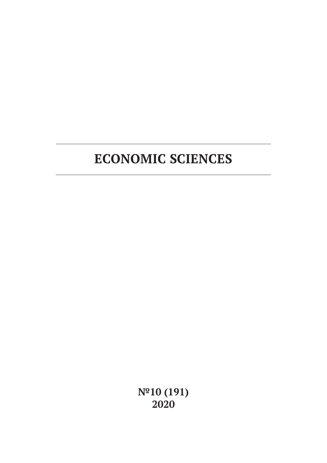**№10 (191) 2020**

# **ECONOMIC SCIENCES**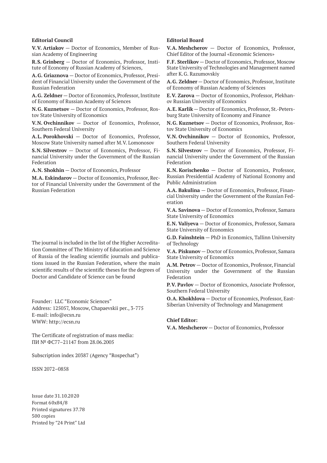#### **Editorial Council**

**V.V. Artiakov** — Doctor of Economics, Member of Russian Academy of Engineering

**R.S. Grinberg** — Doctor of Economics, Professor, Institute of Economy of Russian Academy of Sciences,

**A.G. Griaznova** — Doctor of Economics, Professor, President of Financial University under the Government of the Russian Federation

**A.G. Zeldner** — Doctor of Economics, Professor, Institute of Economy of Russian Academy of Sciences

**N.G. Kuznetsov** — Doctor of Economics, Professor, Rostov State University of Economics

**V.N. Ovchinnikov** — Doctor of Economics, Professor, Southern Federal University

**A.L. Porokhovski** — Doctor of Economics, Professor, Moscow State University named after M.V. Lomonosov

**S.N. Silvestrov** — Doctor of Economics, Professor, Financial University under the Government of the Russian Federation

**A.N. Shokhin** — Doctor of Economics, Professor

**M.A. Eskindarov** — Doctor of Economics, Professor, Rector of Financial University under the Government of the Russian Federation

The journal is included in the list of the Higher Accreditation Committee of The Ministry of Education and Science of Russia of the leading scientific journals and publications issued in the Russian Federation, where the main scientific results of the scientific theses for the degrees of Doctor and Candidate of Science can be found

Founder: LLC "Economic Sciences" Address: 125057, Moscow, Chapaevskii per., 3-775 E-mail: info@ecsn.ru WWW: http://ecsn.ru

The Certificate of registration of mass media: ПИ № ФС77–21147 from 28.06.2005

Subscription index 20387 (Agency "Rospechat")

ISSN 2072–0858

Issue date 31.10.2020 Format 60х84/8 Printed signatures 37.78 500 copies Printed by "24 Print" Ltd

### **Editorial Board**

**V.A. Meshcherov** — Doctor of Economics, Professor, Chief Editor of the Journal «Economic Sciences»

**F.F. Sterlikov** — Doctor of Economics, Professor, Moscow State University of Technologies and Management named after K.G. Razumovskiy

**A.G. Zeldner** — Doctor of Economics, Professor, Institute of Economy of Russian Academy of Sciences

**E.V. Zarova** — Doctor of Economics, Professor, Plekhanov Russian University of Economics

**A.E. Karlik** — Doctor of Economics, Professor, St.-Petersburg State University of Economy and Finance

**N.G. Kuznetsov** — Doctor of Economics, Professor, Rostov State University of Economics

**V.N. Ovchinnikov** — Doctor of Economics, Professor, Southern Federal University

**S.N. Silvestrov** — Doctor of Economics, Professor, Financial University under the Government of the Russian Federation

**K.N. Korischenko** — Doctor of Economics, Professor, Russian Presidential Academy of National Economy and Public Administration

**A.A. Bakulina** — Doctor of Economics, Professor, Financial University under the Government of the Russian Federation

**V.A. Savinova** — Doctor of Economics, Professor, Samara State University of Economics

**E.N. Valiyeva** — Doctor of Economics, Professor, Samara State University of Economics

**G.D. Fainshtein** — PhD in Economics, Tallinn University of Technology

**V.A. Piskunov** — Doctor of Economics, Professor, Samara State University of Economics

**A.M. Petrov** — Doctor of Economics, Professor, Financial University under the Government of the Russian Federation

**P.V. Pavlov** — Doctor of Economics, Associate Professor, Southern Federal University

**O.A. Khokhlova** — Doctor of Economics, Professor, East-Siberian University of Technology and Management

#### **Chief Editor:**

**V.A. Meshcherov** — Doctor of Economics, Professor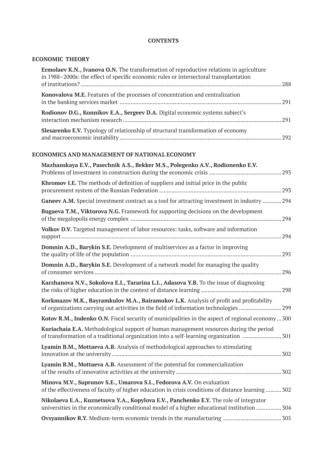### **CONTENTS**

### **ECONOMIC THEORY**

| <b>Ermolaev K.N., Ivanova O.N.</b> The transformation of reproductive relations in agriculture<br>in 1988–2000s: the effect of specific economic rules or intersectoral transplantation |  |
|-----------------------------------------------------------------------------------------------------------------------------------------------------------------------------------------|--|
| Konovalova M.E. Features of the processes of concentration and centralization                                                                                                           |  |
| Rodionov D.G., Konnikov E.A., Sergeev D.A. Digital economic systems subject's                                                                                                           |  |
| <b>Slesarenko E.V.</b> Typology of relationship of structural transformation of economy                                                                                                 |  |

### **ECONOMICS AND MANAGEMENT OF NATIONAL ECONOMY**

| Mazhanskaya E.V., Pasechnik A.S., Bekker M.S., Polegenko A.V., Rodionenko E.V.                                                                                                       |
|--------------------------------------------------------------------------------------------------------------------------------------------------------------------------------------|
| Khromov I.E. The methods of definition of suppliers and initial price in the public                                                                                                  |
| Ganeev A.M. Special investment contract as a tool for attracting investment in industry  294                                                                                         |
| Bugaeva T.M., Viktorova N.G. Framework for supporting decisions on the development                                                                                                   |
| Volkov D.V. Targeted management of labor resources: tasks, software and information                                                                                                  |
| Domnin A.D., Barykin S.E. Development of multiservices as a factor in improving<br>295                                                                                               |
| Domnin A.D., Barykin S.E. Development of a network model for managing the quality                                                                                                    |
| Karzhanova N.V., Sokolova E.I., Tararina L.I., Adasova Y.B. To the issue of diagnosing                                                                                               |
| Korkmazov M.K., Bayramkulov M.A., Bairamukov L.K. Analysis of profit and profitability<br>of organizations carrying out activities in the field of information technologies 299      |
| Kotov R.M., Indenko O.N. Fiscal security of municipalities in the aspect of regional economy 300                                                                                     |
| Kuriachaia E.A. Methodological support of human management resources during the period<br>of transformation of a traditional organization into a self-learning organization 301      |
| Lyamin B.M., Mottaeva A.B. Analysis of methodological approaches to stimulating                                                                                                      |
| Lyamin B.M., Mottaeva A.B. Assessment of the potential for commercialization                                                                                                         |
| Minova M.V., Suprunov S.E., Umarova S.I., Fedorova A.V. On evaluation<br>of the effectiveness of faculty of higher education in crisis conditions of distance learning  302          |
| Nikolaeva E.A., Kuznetsova Y.A., Kopylova E.V., Panchenko E.Y. The role of integrator<br>universities in the economically conditional model of a higher educational institution  304 |
|                                                                                                                                                                                      |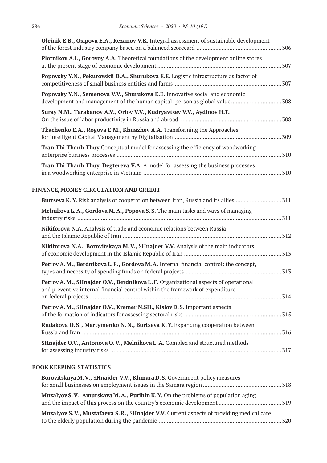| Oleinik E.B., Osipova E.A., Rezanov V.K. Integral assessment of sustainable development                                                                            |  |
|--------------------------------------------------------------------------------------------------------------------------------------------------------------------|--|
| Plotnikov A.I., Gorovoy A.A. Theoretical foundations of the development online stores                                                                              |  |
| Popovsky Y.N., Pekurovskii D.A., Shurukova E.E. Logistic infrastructure as factor of                                                                               |  |
| Popovsky Y.N., Semenova V.V., Shurukova E.E. Innovative social and economic                                                                                        |  |
| Suray N.M., Tarakanov A.V., Orlov V.V., Kudryavtsev V.V., Aydinov H.T.                                                                                             |  |
| Tkachenko E.A., Rogova E.M., Khuazhev A.A. Transforming the Approaches                                                                                             |  |
| <b>Tran Thi Thanh Thuy</b> Conceptual model for assessing the efficiency of woodworking                                                                            |  |
| Tran Thi Thanh Thuy, Degtereva V.A. A model for assessing the business processes                                                                                   |  |
| FINANCE, MONEY CIRCULATION AND CREDIT                                                                                                                              |  |
| Burtseva K. Y. Risk analysis of cooperation between Iran, Russia and its allies  311                                                                               |  |
| Melnikova L.A., Gordova M.A., Popova S.S. The main tasks and ways of managing                                                                                      |  |
| Nikiforova N.A. Analysis of trade and economic relations between Russia                                                                                            |  |
| Nikiforova N.A., Borovitskaya M.V., SHnajder V.V. Analysis of the main indicators                                                                                  |  |
| Petrov A.M., Berdnikova L.F., Gordova M.A. Internal financial control: the concept,                                                                                |  |
| Petrov A.M., SHnajder O.V., Berdnikova L.F. Organizational aspects of operational<br>and preventive internal financial control within the framework of expenditure |  |
| Petrov A. M., SHnajder O.V., Kremer N.SH., Kislov D. S. Important aspects                                                                                          |  |
| Rudakova O.S., Martyinenko N.N., Burtseva K.Y. Expanding cooperation between                                                                                       |  |
| SHnajder O.V., Antonova O.V., Melnikova L.A. Complex and structured methods                                                                                        |  |

# **BOOK KEEPING, STATISTICS**

| Borovitskaya M.V., SHnajder V.V., Khmara D.S. Government policy measures                |  |
|-----------------------------------------------------------------------------------------|--|
|                                                                                         |  |
| <b>Muzalyov S.V., Amurskaya M.A., Putihin K.Y.</b> On the problems of population aging  |  |
| Muzalyov S.V., Mustafaeva S.R., SHnajder V.V. Current aspects of providing medical care |  |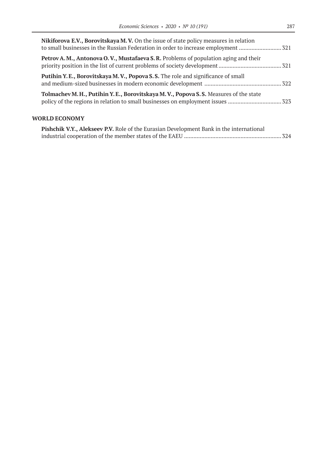| Nikiforova E.V., Borovitskaya M.V. On the issue of state policy measures in relation |  |
|--------------------------------------------------------------------------------------|--|
| Petrov A.M., Antonova O.V., Mustafaeva S.R. Problems of population aging and their   |  |
| Putihin Y.E., Borovitskaya M.V., Popova S.S. The role and significance of small      |  |
| Tolmachev M.H., Putihin Y.E., Borovitskaya M.V., Popova S.S. Measures of the state   |  |
|                                                                                      |  |

# **WORLD ECONOMY**

| Pishchik V.Y., Alekseev P.V. Role of the Eurasian Development Bank in the international |  |
|-----------------------------------------------------------------------------------------|--|
|                                                                                         |  |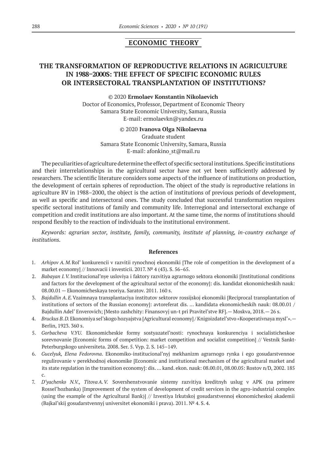## **ECONOMIC THEORY**

# **THE TRANSFORMATION OF REPRODUCTIVE RELATIONS IN AGRICULTURE IN 1988–2000S: THE EFFECT OF SPECIFIC ECONOMIC RULES OR INTERSECTORAL TRANSPLANTATION OF INSTITUTIONS?**

#### © 2020 **Ermolaev Konstantin Nikolaevich**

Doctor of Economics, Professor, Department of Economic Theory Samara State Economic University, Samara, Russia E-mail: ermolaevkn@yandex.ru

#### © 2020 **Ivanova Olga Nikolaevna**

Graduate student Samara State Economic University, Samara, Russia E-mail: afonkino\_st@mail.ru

The peculiarities of agriculture determine the effect of specific sectoral institutions. Specific institutions and their interrelationships in the agricultural sector have not yet been sufficiently addressed by researchers. The scientific literature considers some aspects of the influence of institutions on production, the development of certain spheres of reproduction. The object of the study is reproductive relations in agriculture RV in 1988–2000, the object is the action of institutions of previous periods of development, as well as specific and intersectoral ones. The study concluded that successful transformation requires specific sectoral institutions of family and community life. Interregional and intersectoral exchange of competition and credit institutions are also important. At the same time, the norms of institutions should respond flexibly to the reaction of individuals to the institutional environment.

*Keywords: agrarian sector, institute, family, community, institute of planning, in-country exchange of institutions.*

- 1. *Arhipov A.M.*Rol' konkurencii v razvitii rynochnoj ekonomiki [The role of competition in the development of a market economy] // Innovacii i investicii. 2017. № 4 (43). S. 56–65.
- 2. *Babayan I.V.* Institucional'nye usloviya i faktory razvitiya agrarnogo sektora ekonomiki [Institutional conditions and factors for the development of the agricultural sector of the economy]: dis. kandidat ekonomicheskih nauk: 08.00.01 — Ekonomicheskaya teoriya. Saratov. 2011. 160 s.
- 3. *Bajdullin A.E.*Vzaimnaya transplantaciya institutov sektorov rossijskoj ekonomiki [Reciprocal transplantation of institutions of sectors of the Russian economy]: avtoreferat dis. … kandidata ekonomicheskih nauk: 08.00.01 / Bajdullin Adel' Enverovich; [Mesto zashchity: Finansovyj un-t pri Pravitel'stve RF].— Moskva, 2018.— 26 s.
- 4. *Bruckus B.D.*Ekonomiya sel'skogo hozyajstva [Agricultural economy] / Knigoizdatel'stvo «Kooperativnaya mysl'».— Berlin, 1923. 360 s.
- 5. *Gorbacheva V.YU.* Ekonomicheskie formy sostyazatel'nosti: rynochnaya konkurenciya i socialisticheskoe sorevnovanie [Economic forms of competition: market competition and socialist competition] // Vestnik Sankt-Peterburgskogo universiteta. 2008. Ser. 5. Vyp. 2. S. 145–149.
- 6. *Gucelyuk, Elena Fedorovna*. Ekonomiko-institucional'nyj mekhanizm agrarnogo rynka i ego gosudarstvennoe regulirovanie v perekhodnoj ekonomike [Economic and institutional mechanism of the agricultural market and its state regulation in the transition economy]: dis. … kand. ekon. nauk: 08.00.01, 08.00.05: Rostov n/D, 2002. 185 c.
- 7. *D'yachenko N.V., Titova A. V.* Sovershenstvovanie sistemy razvitiya kreditnyh uslug v APK (na primere Rossel'hozbanka) [Improvement of the system of development of credit services in the agro-industrial complex (using the example of the Agricultural Bank)] // Izvestiya Irkutskoj gosudarstvennoj ekonomicheskoj akademii (Bajkal'skij gosudarstvennyj universitet ekonomiki i prava). 2011. № 4. S. 4.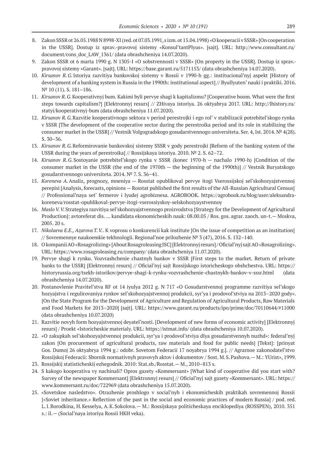- 8. Zakon SSSR ot 26.05.1988 N 8998-XI (red. ot 07.03.1991, s izm. ot 15.04.1998) «O kooperacii v SSSR» [On cooperation in the USSR]. Dostup iz sprav.-pravovoj sistemy «Konsul'tantPlyus». [sajt]. URL: http://www.consultant.ru/ document/cons\_doc\_LAW\_1361/ (data obrashcheniya 14.07.2020).
- Zakon SSSR ot 6 marta 1990 g. N 1305-I «O sobstvennosti v SSSR» [On property in the USSR]. Dostup iz sprav.pravovoj sistemy «Garant». [sajt]. URL: https://base.garant.ru/5171153/ (data obrashcheniya 14.07.2020).
- 10. *Kirsanov R.G.*Istoriya razvitiya bankovskoj sistemy v Rossii v 1990‑h gg.: institucional'nyj aspekt [History of development of a banking system in Russia in the 1990th: institutional aspect] // Byullyuten' nauki i praktiki. 2016. № 10 (11). S. 181–186.
- 11. *Kirsanov R.G.*Kooperativnyj bum. Kakimi byli pervye shagi k kapitalizmu? [Cooperative boom. What were the first steps towards capitalism?] [Elektronnyj resurs] // ZHivaya istoriya. 26 oktyabrya 2017. URL: http://lhistory.ru/ statyi/kooperativnyj-bum (data obrashcheniya 11.07.2020).
- 12. *Kirsanov R.G.*Razvitie kooperativnogo sektora v period perestrojki i ego rol' v stabilizacii potrebitel'skogo rynka v SSSR [The development of the cooperative sector during the perestroika period and its role in stabilizing the consumer market in the USSR] // Vestnik Volgogradskogo gosudarstvennogo universiteta. Ser. 4, Ist. 2014. № 4(28). S. 30–36.
- 13. *Kirsanov R.G.*Reformirovanie bankovskoj sistemy SSSR v gody perestrojki [Reform of the banking system of the USSR during the years of perestroika] // Rossijskaya istoriya. 2010. № 2. S. 62–72.
- 14. *Kirsanov R.G.*Sostoyanie potrebitel'skogo rynka v SSSR (konec 1970‑h nachalo 1990‑h) [Condition of the consumer market in the USSR (the end of the 1970th — the beginning of the 1990th)] // Vestnik Buryatskogo gosudarstvennogo universiteta. 2014. № 7. S. 36–41.
- 15. *Koreneva A.*Analiz, prognozy, mneniya Rosstat opublikoval pervye itogi Vserossijskoj sel'skohozyajstvennoj perepisi [Analysis, forecasts, opinions — Rosstat published the first results of the All-Russian Agricultural Census] // Professional'naya set' fermerov i lyudej agrobiznesa. AGROBOOK. https://agrobook.ru/blog/user/aleksandrakoreneva/rosstat-opublikoval-pervye-itogi-vserossiyskoy-selskohozyaystvennoy
- 16. *Maslo V. V.*Strategiya razvitiya sel'skohozyajstvennogo proizvodstva [Strategy for the Development of Agricultural Production]: avtoreferat dis. … kandidata ekonomicheskih nauk: 08.00.05 / Ros. gos. agrar. zaoch. un-t.— Moskva, 2005. 20 s.
- 17. *Nikolaeva E.E., Azarova T. V.*. K voprosu o konkurencii kak institute [On the issue of competition as an institution] // Sovremennye naukoemkie tekhnologii. Regional'noe prilozhenie № 3 (47), 2016. S. 132–140.
- 18. O kompanii AO «Rosagrolizing» [About Rosagroleasing JSC] [Elektronnyj resurs] / Oficial'nyj sajt AO «Rosagrolizing». URL: https://www.rosagroleasing.ru/company/ (data obrashcheniya 11.07.2020).
- 19. Pervye shagi k rynku. Vozvrashchenie chastnyh bankov v SSSR [First steps to the market. Return of private banks to the USSR] [Elektronnyj resurs] // Oficial'nyj sajt Rossijskogo istoricheskogo obshchestva. URL: https:// historyrussia.org/tsekh-istorikov/pervye-shagi-k-rynku-vozvrashchenie-chastnykh-bankov-v-sssr.html (data obrashcheniya 14.07.2020).
- 20. Postanovlenie Pravitel'stva RF ot 14 iyulya 2012 g. N 717 «O Gosudarstvennoj programme razvitiya sel'skogo hozyajstva i regulirovaniya rynkov sel'skohozyajstvennoj produkcii, syr'ya i prodovol'stviya na 2013–2020 gody». [On the State Program for the Development of Agriculture and Regulation of Agricultural Products, Raw Materials and Food Markets for 2013–2020] [sajt]. URL: https://www.garant.ru/products/ipo/prime/doc/70110644/#11000 (data obrashcheniya 10.07.2020)
- 21. Razvitie novyh form hozyajstvennoj deyatel'nosti. [Development of new forms of economic activity] [Elektronnyj resurs] / Proekt «Istoricheskie materialy. URL: https://istmat.info/ (data obrashcheniya 10.07.2020).
- 22. «O zakupkah sel'skohozyajstvennoj produkcii, syr'ya i prodovol'stviya dlya gosudarstvennyh nuzhd»: federal'nyj zakon [On procurement of agricultural products, raw materials and food for public needs] [Tekst]: [prinyat Gos. Dumoj 26 oktyabrya 1994 g.: odobr. Sovetom Federacii 17 noyabrya 1994 g.]. // Agrarnoe zakonodatel'stvo Rossijskoj Federacii: Sbornik normativnyh pravovyh aktov i dokumentov / Sost. M.S.Pashova.— M.: YUrist», 1999.
- 23. Rossijskij statisticheskij ezhegodnik. 2010: Stat.sb./Rosstat.— M., 2010–813 s.
- 24. S kakogo kooperativa vy nachinali? Opros gazety «Kommersant» [What kind of cooperative did you start with? Survey of the newspaper Kommersant] [Elektronnyj resurs] // Oficial'nyj sajt gazety «Kommersant». URL: https:// www.kommersant.ru/doc/722969 (data obrashcheniya 15.07.2020).
- 25. «Sovetskoe nasledstvo». Otrazhenie proshlogo v social'nyh i ekonomicheskih praktikah sovremennoj Rossii [«Soviet inheritance.» Reflection of the past in the social and economic practices of modern Russia] / pod. red. L.I.Borodkina, H.Kesselya, A.K.Sokolova.— M.: Rossijskaya politicheskaya enciklopediya (ROSSPEN), 2010. 351 s.: il.— (Social'naya istoriya Rossii HKH veka).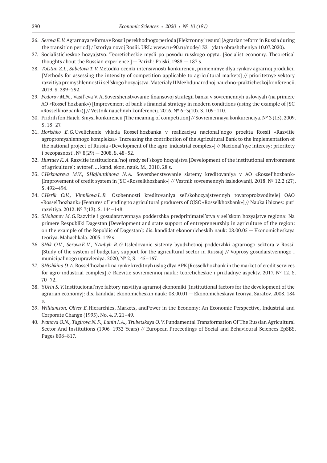- 26. *Serova E. V.*Agrarnaya reforma v Rossii perekhodnogo perioda [Elektronnyj resurs] [Agrarian reform in Russia during the transition period] / Istoriya novoj Rosiii. URL: www.ru‑90.ru/node/1321 (data obrashcheniya 10.07.2020).
- 27. Socialisticheskoe hozyajstvo. Teoreticheskie mysli po povodu russkogo opyta. [Socialist economy. Theoretical thoughts about the Russian experience.] — Parizh: Poiski, 1988.— 187 s.
- 28. *Tolstun Z.I., Sabetova T. V.*Metodiki ocenki intensivnosti konkurencii, primenimye dlya rynkov agrarnoj produkcii [Methods for assessing the intensity of competition applicable to agricultural markets] // prioritetnye vektory razvitiya promyshlennosti i sel'skogo hozyajstva. Materialy II Mezhdunarodnoj nauchno-prakticheskoj konferencii. 2019. S. 289–292.
- 29. *Fedorov M.N.,* Vasil'eva V.A.Sovershenstvovanie finansovoj strategii banka v sovremennyh usloviyah (na primere AO «Rossel'hozbank») [Improvement of bank's financial strategy in modern conditions (using the example of JSC «Rosselkhozbank»)] // Vestnik nauchnyh konferencij. 2016.  $N^2$  6–3(10). S. 109–110.
- 30. Fridrih fon Hajek. Smysl konkurencii [The meaning of competition] // Sovremennaya konkurenciya. № 3 (15). 2009. S. 18–27.
- 31. *Horishko E.G.*Uvelichenie vklada Rossel'hozbanka v realizaciyu nacional'nogo proekta Rossii «Razvitie agropromyshlennogo kompleksa» [Increasing the contribution of the Agricultural Bank to the implementation of the national project of Russia «Development of the agro-industrial complex»] // Nacional'nye interesy: prioritety i bezopasnost'. № 8(29) — 2008. S. 48–52.
- 32. *Hurtaev K.A.*Razvitie institucional'noj sredy sel'skogo hozyajstva [Development of the institutional environment of agriculture]: avtoref. … kand. ekon. nauk. M., 2010. 28 s.
- 33. C*Hekmareva M.V.,* S*Hajhutdinova N.A.* Sovershenstvovanie sistemy kreditovaniya v AO «Rossel'hozbank» [Improvement of credit system in JSC «Rosselkhozbank»] // Vestnik sovremennyh issledovanij. 2018. № 12.2 (27). S. 492–494.
- 34. C*Herik O.V., Vinnikova L. B.* Osobennosti kreditovaniya sel'skohozyajstvennyh tovaroproizvoditelej OAO «Rossel'hozbank» [Features of lending to agricultural producers of OJSC «Rosselkhozbank»] // Nauka i biznes: puti razvitiya. 2012. № 7(13). S. 144–148.
- 35. S*Habanov M.G.*Razvitie i gosudarstvennaya podderzhka predprinimatel'stva v sel'skom hozyajstve regiona: Na primere Respubliki Dagestan [Development and state support of entrepreneurship in agriculture of the region: on the example of the Republic of Dagestan]: dis. kandidat ekonomicheskih nauk: 08.00.05 — Ekonomicheskaya teoriya. Mahachkala. 2005. 149 s.
- 36. S*Hik O.V., Serova E. V.,* Y*Anbyh R.G.*Issledovanie sistemy byudzhetnoj podderzhki agrarnogo sektora v Rossii [Study of the system of budgetary support for the agricultural sector in Russia] // Voprosy gosudarstvennogo i municipal'nogo upravleniya. 2020, № 2, S. 145–167.
- 37. S*Hishkina D.A.*Rossel'hozbank na rynke kreditnyh uslug dlya APK [Rosselkhozbank in the market of credit services for agro-industrial complex] // Razvitie sovremennoj nauki: teoreticheskie i prikladnye aspekty. 2017. № 12. S. 70–72.
- 38. Y*Urin S. V.*Institucional'nye faktory razvitiya agrarnoj ekonomiki [Institutional factors for the development of the agrarian economy]: dis. kandidat ekonomicheskih nauk: 08.00.01 — Ekonomicheskaya teoriya. Saratov. 2008. 184 s.
- 39. *Williamson, Oliver E.*Hierarchies, Markets, andPower in the Economy: An Economic Perspective, Industrial and Corporate Change (1995). No. 4. P. 21–49.
- 40. *Ivanova O.N., Tagirova N. F., Lunin I. A., Trubetskaya O. V.*Fundamental Transformation Of The Russian Agricultural Sector And Institutions (1906–1932 Years) // European Proceedings of Social and Behavioural Sciences EpSBS. Pages 808–817.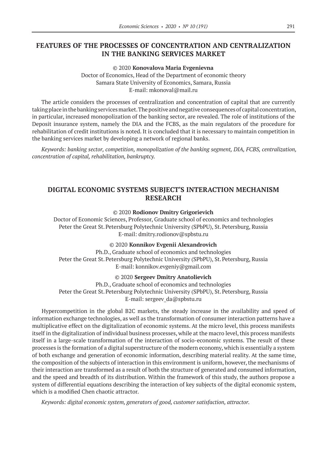# **FEATURES OF THE PROCESSES OF CONCENTRATION AND CENTRALIZATION IN THE BANKING SERVICES MARKET**

© 2020 **Konovalova Maria Evgenievna**

Doctor of Economics, Head of the Department of economic theory Samara State University of Economics, Samara, Russia E-mail: mkonoval@mail.ru

The article considers the processes of centralization and concentration of capital that are currently taking place in the banking services market. The positive and negative consequences of capital concentration, in particular, increased monopolization of the banking sector, are revealed. The role of institutions of the Deposit insurance system, namely the DIA and the FCBS, as the main regulators of the procedure for rehabilitation of credit institutions is noted. It is concluded that it is necessary to maintain competition in the banking services market by developing a network of regional banks.

*Keywords: banking sector, competition, monopolization of the banking segment, DIA, FCBS, centralization, concentration of capital, rehabilitation, bankruptcy.*

# **DIGITAL ECONOMIC SYSTEMS SUBJECT'S INTERACTION MECHANISM RESEARCH**

© 2020 **Rodionov Dmitry Grigorievich**

Doctor of Economic Sciences, Professor, Graduate school of economics and technologies Peter the Great St. Petersburg Polytechnic University (SPbPU), St. Petersburg, Russia E-mail: dmitry.rodionov@spbstu.ru

© 2020 **Konnikov Evgenii Alexandrovich**

Ph.D., Graduate school of economics and technologies Peter the Great St. Petersburg Polytechnic University (SPbPU), St. Petersburg, Russia E-mail: konnikov.evgeniy@gmail.com

© 2020 **Sergeev Dmitry Anatolievich**

Ph.D., Graduate school of economics and technologies Peter the Great St. Petersburg Polytechnic University (SPbPU), St. Petersburg, Russia E-mail: sergeev\_da@spbstu.ru

Hypercompetition in the global B2C markets, the steady increase in the availability and speed of information exchange technologies, as well as the transformation of consumer interaction patterns have a multiplicative effect on the digitalization of economic systems. At the micro level, this process manifests itself in the digitalization of individual business processes, while at the macro level, this process manifests itself in a large-scale transformation of the interaction of socio-economic systems. The result of these processes is the formation of a digital superstructure of the modern economy, which is essentially a system of both exchange and generation of economic information, describing material reality. At the same time, the composition of the subjects of interaction in this environment is uniform, however, the mechanisms of their interaction are transformed as a result of both the structure of generated and consumed information, and the speed and breadth of its distribution. Within the framework of this study, the authors propose a system of differential equations describing the interaction of key subjects of the digital economic system, which is a modified Chen chaotic attractor.

*Keywords: digital economic system, generators of good, customer satisfaction, attractor.*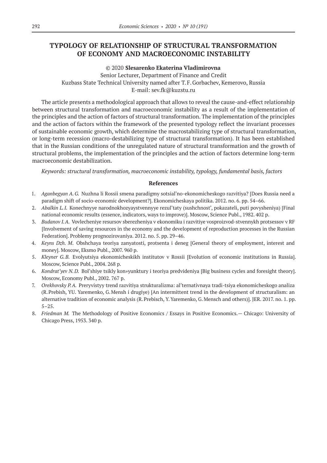# **TYPOLOGY OF RELATIONSHIP OF STRUCTURAL TRANSFORMATION OF ECONOMY AND MACROECONOMIC INSTABILITY**

### © 2020 **Slesarenko Ekaterina Vladimirovna**

Senior Lecturer, Department of Finance and Credit Kuzbass State Technical University named after T.F.Gorbachev, Kemerovo, Russia E-mail: sev.fk@kuzstu.ru

The article presents a methodological approach that allows to reveal the cause-and-effect relationship between structural transformation and macroeconomic instability as a result of the implementation of the principles and the action of factors of structural transformation. The implementation of the principles and the action of factors within the framework of the presented typology reflect the invariant processes of sustainable economic growth, which determine the macrostabilizing type of structural transformation, or long-term recession (macro-destabilizing type of structural transformation). It has been established that in the Russian conditions of the unregulated nature of structural transformation and the growth of structural problems, the implementation of the principles and the action of factors determine long-term macroeconomic destabilization.

*Keywords: structural transformation, macroeconomic instability, typology, fundamental basis, factors*

- 1. *Aganbegyan A.G.* Nuzhna li Rossii smena paradigmy sotsial'no-ekonomicheskogo razvitiya? [Does Russia need a paradigm shift of socio-economic development?]. Ekonomicheskaya politika. 2012. no. 6. pp. 54–66.
- 2. *Abalkin L. I.* Konechnyye narodnokhozyaystvennyye rezul'taty (sushchnost', pokazateli, puti povysheniya) [Final national economic results (essence, indicators, ways to improve)]. Moscow, Science Publ., 1982. 402 p.
- 3. *Budanov I. A.*Vovlecheniye resursov sberezheniya v ekonomiku i razvitiye vosproizvod-stvennykh protsessov v RF [Involvement of saving resources in the economy and the development of reproduction processes in the Russian Federation]. Problemy prognozirovaniya. 2012. no. 5. pp. 29–46.
- 4. *Keyns Dzh. M*. Obshchaya teoriya zanyatosti, protsenta i deneg [General theory of employment, interest and money]. Moscow, Eksmo Publ., 2007. 960 p.
- 5. *Kleyner G.B.* Evolyutsiya ekonomicheskikh institutov v Rossii [Evolution of economic institutions in Russia]. Moscow, Science Publ., 2004. 268 p.
- 6. *Kondrat'yev N.D.* Bol'shiye tsikly kon»yunktury i teoriya predvideniya [Big business cycles and foresight theory]. Moscow, Economy Publ., 2002. 767 p.
- 7. *Orekhovsky P.A.* Preryvistyy trend razvitiya strukturalizma: al'ternativnaya tradi-tsiya ekonomicheskogo analiza (R.Prebish, YU. Yaremenko, G.Mensh i drugiye) [An intermittent trend in the development of structuralism: an alternative tradition of economic analysis (R.Prebisch, Y.Yaremenko, G.Mensch and others)]. JER. 2017. no. 1. pp. 5–25.
- 8. *Friedman M.* The Methodology of Positive Economics / Essays in Positive Economics. Chicago: University of Chicago Press, 1953. 340 р.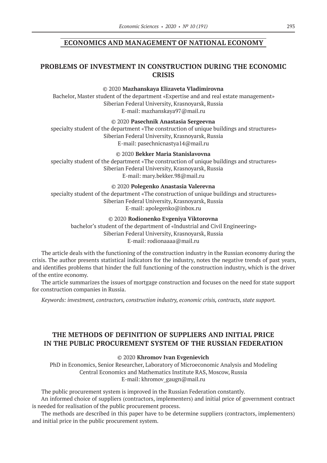### **ECONOMICS AND MANAGEMENT OF NATIONAL ECONOMY**

# **PROBLEMS OF INVESTMENT IN CONSTRUCTION DURING THE ECONOMIC CRISIS**

#### © 2020 **Mazhanskaya Elizaveta Vladimirovna**

Bachelor, Master student of the department «Expertise and and real estate management» Siberian Federal University, Krasnoyarsk, Russia E-mail: mazhanskaya97@mail.ru

© 2020 **Pasechnik Anastasia Sergeevna**

specialty student of the department «The construction of unique buildings and structures» Siberian Federal University, Krasnoyarsk, Russia E-mail: pasechnicnastya14@mail.ru

© 2020 **Bekker Maria Stanislavovna**

specialty student of the department «The construction of unique buildings and structures» Siberian Federal University, Krasnoyarsk, Russia E-mail: mary.bekker.98@mail.ru

© 2020 **Polegenko Anastasia Valerevna**

specialty student of the department «The construction of unique buildings and structures» Siberian Federal University, Krasnoyarsk, Russia E-mail: apolegenko@inbox.ru

### © 2020 **Rodionenko Evgeniya Viktorovna**

bachelor's student of the department of «Industrial and Civil Engineering» Siberian Federal University, Krasnoyarsk, Russia E-mail: rodionaaaa@mail.ru

The article deals with the functioning of the construction industry in the Russian economy during the crisis. The author presents statistical indicators for the industry, notes the negative trends of past years, and identifies problems that hinder the full functioning of the construction industry, which is the driver of the entire economy.

The article summarizes the issues of mortgage construction and focuses on the need for state support for construction companies in Russia.

*Keywords: investment, contractors, construction industry, economic crisis, contracts, state support.*

# **THE METHODS OF DEFINITION OF SUPPLIERS AND INITIAL PRICE IN THE PUBLIC PROCUREMENT SYSTEM OF THE RUSSIAN FEDERATION**

### © 2020 **Khromov Ivan Evgenievich**

PhD in Economics, Senior Researcher, Laboratory of Microeconomic Analysis and Modeling Central Economics and Mathematics Institute RAS, Moscow, Russia E-mail: khromov\_gaugn@mail.ru

The public procurement system is improved in the Russian Federation constantly.

An informed choice of suppliers (contractors, implementers) and initial price of government contract is needed for realisation of the public procurement process.

The methods are described in this paper have to be determine suppliers (contractors, implementers) and initial price in the public procurement system.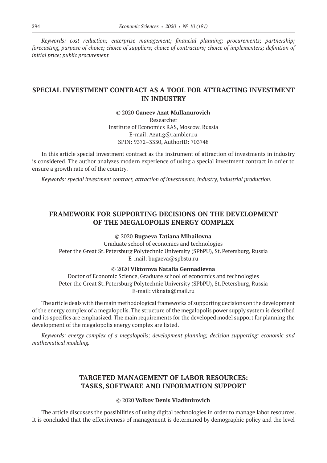*Keywords: сost reduction; enterprise management; financial planning; procurements; partnership; forecasting, purpose of choice; choice of suppliers; choice of contractors; choice of implementers; definition of initial price; public procurement*

# **SPECIAL INVESTMENT CONTRACT AS A TOOL FOR ATTRACTING INVESTMENT IN INDUSTRY**

© 2020 **Ganeev Azat Mullanurovich** Researcher Institute of Economics RAS, Moscow, Russia E-mail: Azat.g@rambler.ru SPIN: 9372–3330, AuthorID: 703748

In this article special investment contract as the instrument of attraction of investments in industry is considered. The author analyzes modern experience of using a special investment contract in order to ensure a growth rate of of the country.

*Keywords: special investment contract, attraction of investments, industry, industrial production.*

# **FRAMEWORK FOR SUPPORTING DECISIONS ON THE DEVELOPMENT OF THE MEGALOPOLIS ENERGY COMPLEX**

© 2020 **Bugaeva Tatiana Mihailovna**

Graduate school of economics and technologies Peter the Great St. Petersburg Polytechnic University (SPbPU), St. Petersburg, Russia E-mail: bugaeva@spbstu.ru

© 2020 **Viktorova Natalia Gennadievna**

Doctor of Economic Science, Graduate school of economics and technologies Peter the Great St. Petersburg Polytechnic University (SPbPU), St. Petersburg, Russia E-mail: viknata@mail.ru

The article deals with the main methodological frameworks of supporting decisions on the development of the energy complex of a megalopolis. The structure of the megalopolis power supply system is described and its specifics are emphasized. The main requirements for the developed model support for planning the development of the megalopolis energy complex are listed.

*Keywords: energy complex of a megalopolis; development planning; decision supporting; economic and mathematical modeling.*

# **TARGETED MANAGEMENT OF LABOR RESOURCES: TASKS, SOFTWARE AND INFORMATION SUPPORT**

© 2020 **Volkov Denis Vladimirovich**

The article discusses the possibilities of using digital technologies in order to manage labor resources. It is concluded that the effectiveness of management is determined by demographic policy and the level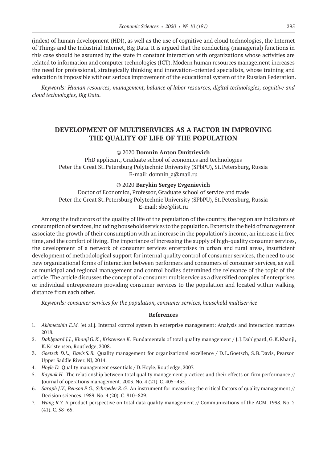(index) of human development (HDI), as well as the use of cognitive and cloud technologies, the Internet of Things and the Industrial Internet, Big Data. It is argued that the conducting (managerial) functions in this case should be assumed by the state in constant interaction with organizations whose activities are related to information and computer technologies (ICT). Modern human resources management increases the need for professional, strategically thinking and innovation-oriented specialists, whose training and education is impossible without serious improvement of the educational system of the Russian Federation.

*Keywords: Human resources, management, balance of labor resources, digital technologies, cognitive and cloud technologies, Big Data.*

# **DEVELOPMENT OF MULTISERVICES AS A FACTOR IN IMPROVING THE QUALITY OF LIFE OF THE POPULATION**

### © 2020 **Domnin Anton Dmitrievich**

PhD applicant, Graduate school of economics and technologies Peter the Great St. Petersburg Polytechnic University (SPbPU), St. Petersburg, Russia E-mail: domnin\_a@mail.ru

#### © 2020 **Barykin Sergey Evgenievich**

Doctor of Economics, Professor, Graduate school of service and trade Peter the Great St. Petersburg Polytechnic University (SPbPU), St. Petersburg, Russia E-mail: sbe@list.ru

Among the indicators of the quality of life of the population of the country, the region are indicators of consumption of services, including household services to the population. Experts in the field of management associate the growth of their consumption with an increase in the population's income, an increase in free time, and the comfort of living. The importance of increasing the supply of high-quality consumer services, the development of a network of consumer services enterprises in urban and rural areas, insufficient development of methodological support for internal quality control of consumer services, the need to use new organizational forms of interaction between performers and consumers of consumer services, as well as municipal and regional management and control bodies determined the relevance of the topic of the article. The article discusses the concept of a consumer multiservice as a diversified complex of enterprises or individual entrepreneurs providing consumer services to the population and located within walking distance from each other.

*Keywords: consumer services for the population, consumer services, household multiservice*

- 1. *Akhmetshin E.M.* [et al.]. Internal control system in enterprise management: Analysis and interaction matrices 2018.
- 2. *Dahlgaard J.J., KhanjiG.K., Kristensen K.* Fundamentals of total quality management / J.J.Dahlgaard, G.K.Khanji, K.Kristensen, Routledge, 2008.
- 3. *Goetsch D.L., Davis S. B.* Quality management for organizational excellence / D.L.Goetsch, S.B.Davis, Pearson Upper Saddle River, NJ, 2014.
- 4. *Hoyle D.* Quality management essentials / D.Hoyle, Routledge, 2007.
- 5. *Kaynak H.* The relationship between total quality management practices and their effects on firm performance // Journal of operations management. 2003. No. 4 (21). C. 405–435.
- 6. *Saraph J.V., Benson P. G., Schroeder R. G.*An instrument for measuring the critical factors of quality management // Decision sciences. 1989. No. 4 (20). C. 810–829.
- 7. *Wang R.Y.* A product perspective on total data quality management // Communications of the ACM. 1998. No. 2 (41). C. 58–65.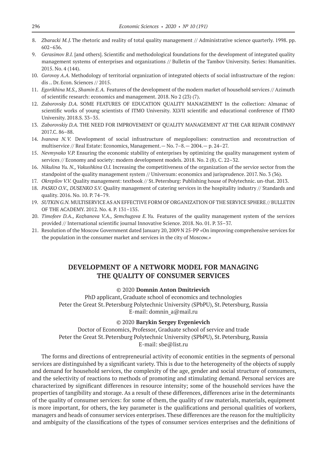- 8. *Zbaracki M. J.*The rhetoric and reality of total quality management // Administrative science quarterly. 1998. pp. 602–636.
- 9. *Gerasimov B.I.* [and others]. Scientific and methodological foundations for the development of integrated quality management systems of enterprises and organizations // Bulletin of the Tambov University. Series: Humanities. 2015. No. 4 (144).
- 10. *Gorovoy A.A.* Methodology of territorial organization of integrated objects of social infrastructure of the region: dis .. Dr.Econ. Sciences // 2015.
- 11. *Egorikhina M.S., Shamin E.A.* Features of the development of the modern market of household services // Azimuth of scientific research: economics and management. 2018. No 2 (23) (7).
- 12. *Zaborovsky D.A.* SOME FEATURES OF EDUCATION QUALITY MANAGEMENT In the collection: Almanac of scientific works of young scientists of ITMO University. XLVII scientific and educational conference of ITMO University. 2018.S. 33–35.
- 13. *Zaborovskiy D.А.* THE NEED FOR IMPROVEMENT OF QUALITY MANAGEMENT AT THE CAR REPAIR COMPANY 2017.C. 86–88.
- 14. *Ivanova N. V.* Development of social infrastructure of megalopolises: construction and reconstruction of multiservice // Real Estate: Economics, Management.— No. 7–8.— 2004.— p. 24–27.
- 15. *Nevmyvako V.P.* Ensuring the economic stability of enterprises by optimizing the quality management system of services // Economy and society: modern development models. 2018. No. 2 (8). C. 22–32.
- 16. *Nikulina Yu. N., Vakushkina O.I.* Increasing the competitiveness of the organization of the service sector from the standpoint of the quality management system // Universum: economics and jurisprudence. 2017. No. 3 (36).
- 17. *Okrepilov V.V.* Quality management: textbook // St.Petersburg: Publishing house of Polytechnic. un-that. 2013.
- 18. *PASKO O.V., DUSENKO S.V.* Quality management of catering services in the hospitality industry // Standards and quality. 2016. No. 10. P. 74–79.
- 19. *SUTKIN G.N.* MULTISERVICE AS AN EFFECTIVE FORM OF ORGANIZATION OF THE SERVICE SPHERE // BULLETIN OF THE ACADEMY. 2012. No. 4. P. 131–135.
- 20. *Timofeev D.A., Kozhanova V.A., Semchugova E. Yu.* Features of the quality management system of the services provided // International scientific journal Innovative Science. 2018. No. 01. P. 35–37.
- 21. Resolution of the Moscow Government dated January 20, 2009 N 25-PP «On improving comprehensive services for the population in the consumer market and services in the city of Moscow.»

# **DEVELOPMENT OF A NETWORK MODEL FOR MANAGING THE QUALITY OF CONSUMER SERVICES**

#### © 2020 **Domnin Anton Dmitrievich**

PhD applicant, Graduate school of economics and technologies Peter the Great St. Petersburg Polytechnic University (SPbPU), St. Petersburg, Russia E-mail: domnin\_a@mail.ru

### © 2020 **Barykin Sergey Evgenievich**

Doctor of Economics, Professor, Graduate school of service and trade Peter the Great St. Petersburg Polytechnic University (SPbPU), St. Petersburg, Russia E-mail: sbe@list.ru

The forms and directions of entrepreneurial activity of economic entities in the segments of personal services are distinguished by a significant variety. This is due to the heterogeneity of the objects of supply and demand for household services, the complexity of the age, gender and social structure of consumers, and the selectivity of reactions to methods of promoting and stimulating demand. Personal services are characterized by significant differences in resource intensity; some of the household services have the properties of tangibility and storage. As a result of these differences, differences arise in the determinants of the quality of consumer services: for some of them, the quality of raw materials, materials, equipment is more important, for others, the key parameter is the qualifications and personal qualities of workers, managers and heads of consumer services enterprises. These differences are the reason for the multiplicity and ambiguity of the classifications of the types of consumer services enterprises and the definitions of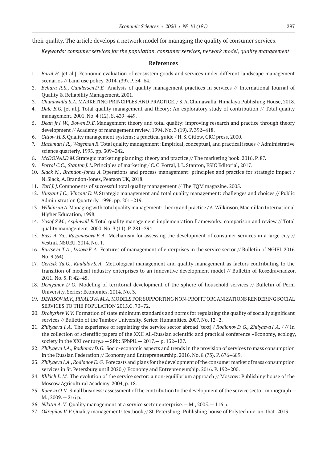their quality. The article develops a network model for managing the quality of consumer services.

*Keywords: consumer services for the population, consumer services, network model, quality management*

- 1. *Baral H.* [et al.]. Economic evaluation of ecosystem goods and services under different landscape management scenarios // Land use policy. 2014. (39). P. 54–64.
- 2. *Behara R.S., Gundersen D.E.* Analysis of quality management practices in services // International Journal of Quality & Reliability Management. 2001.
- 3. *Chunawalla S.A.* MARKETING PRINCIPLES AND PRACTICE. / S.A.Chunawalla, Himalaya Publishing House, 2018.
- 4. *Dale B.G.* [et al.]. Total quality management and theory: An exploratory study of contribution // Total quality management. 2001. No. 4 (12). S. 439–449.
- 5. *Dean JrJ.W., Bowen D.E.*Management theory and total quality: improving research and practice through theory development // Academy of management review. 1994. No. 3 (19). P. 392–418.
- 6. *Gitlow H.S.*Quality management systems: a practical guide / H.S.Gitlow, CRC press, 2000.
- 7. *Hackman J.R., Wageman R.*Total quality management: Empirical, conceptual, and practical issues // Administrative science quarterly. 1995. pp. 309–342.
- 8. *McDONALD M*.Strategic marketing planning: theory and practice // The marketing book. 2016. P. 87.
- 9. *Porral C.C., Stanton J.L.* Principles of marketing / C.C. Porral, J.L. Stanton, ESIC Editorial, 2017.
- 10. *Slack N., Brandon-Jones A.*Operations and process management: principles and practice for strategic impact / N.Slack, A.Brandon-Jones, Pearson UK, 2018.
- 11. *Tarí J. J.*Components of successful total quality management // The TQM magazine. 2005.
- 12. *Vinzant J.C., Vinzant D. H.*Strategic management and total quality management: challenges and choices // Public Administration Quarterly. 1996. pp. 201–219.
- 13. *Wilkinson A.*Managing with total quality management: theory and practice / A.Wilkinson, Macmillan International Higher Education, 1998.
- 14. *Yusof S.M., Aspinwall E.*Total quality management implementation frameworks: comparison and review // Total quality management. 2000. No. 3 (11). P. 281–294.
- 15. *Bass A. Ya., Razomasova E. A.* Mechanism for assessing the development of consumer services in a large city // Vestnik NSUEU. 2014. No. 1.
- 16. *Burtseva T.A., Lysova E. A.* Features of management of enterprises in the service sector // Bulletin of NGIEI. 2016. No. 9 (64).
- 17. *Gertsik Yu.G., Kaidalov S. A.* Metrological management and quality management as factors contributing to the transition of medical industry enterprises to an innovative development model // Bulletin of Roszdravnadzor. 2011. No. 5. P. 42–45.
- 18. *Demyanov D.G.* Modeling of territorial development of the sphere of household services // Bulletin of Perm University. Series: Economics. 2014. No. 3.
- 19. *DENISOV M.V.,PIKALOVA M.A.* MODELS FOR SUPPORTING NON-PROFIT ORGANIZATIONS RENDERING SOCIAL SERVICES TO THE POPULATION 2015.C. 70–72.
- 20. *Drobyshev V. V.* Formation of state minimum standards and norms for regulating the quality of socially significant services // Bulletin of the Tambov University. Series: Humanities. 2007. No. 12–2.
- 21. *Zhilyaeva I.A.* The experience of regulating the service sector abroad [text] / Rodionov D.G., *Zhilyaeva I.A.* / // In the collection of scientific papers of the XXII All-Russian scientific and practical conference «Economy, ecology, society in the XXI century.» — SPb: SPbPU.— 2017.— p. 132–137.
- 22. *Zhilyaeva I.A., Rodionov D.G.* Socio-economic aspects and trends in the provision of services to mass consumption in the Russian Federation // Economy and Entrepreneurship. 2016. No. 8 (73). P. 676–689.
- 23. *Zhilyaeva I.A., Rodionov D.G.* Forecasts and plans for the development of the consumer market of mass consumption services in St.Petersburg until 2020 // Economy and Entrepreneurship. 2016. P. 192–200.
- 24. *Klikich L.M.* The evolution of the service sector: a non-equilibrium approach // Moscow: Publishing house of the Moscow Agricultural Academy. 2004, p. 18.
- 25. *Koneva O.V.* Small business: assessment of the contribution to the development of the service sector. monograph -M., 2009.— 216 p.
- 26. *Nikitin A. V.* Quality management at a service sector enterprise.— M., 2005.— 116 p.
- 27. *Okrepilov V. V.*Quality management: textbook // St.Petersburg: Publishing house of Polytechnic. un-that. 2013.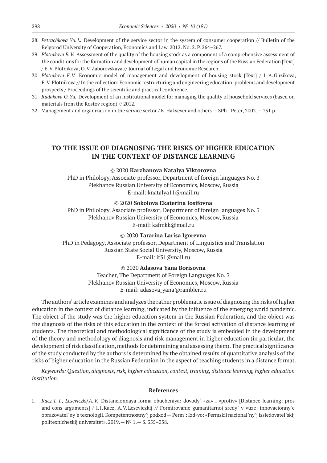- 28. Petrachkova Yu.L. Development of the service sector in the system of consumer cooperation // Bulletin of the Belgorod University of Cooperation, Economics and Law. 2012. No. 2. P. 264–267.
- 29. *Plotnikova E. V.*Assessment of the quality of the housing stock as a component of a comprehensive assessment of the conditions for the formation and development of human capital in the regions of the Russian Federation [Text] / E.V.Plotnikova, O.V.Zaborovskaya // Journal of Legal and Economic Research.
- 30. *Plotnikova E. V.* Economic model of management and development of housing stock [Text] / L.А.Guzikova, E.V.Plotnikova // In the collection: Economic restructuring and engineering education: problems and development prospects / Proceedings of the scientific and practical conference.
- 31. *Rudakova O. Yu.* Development of an institutional model for managing the quality of household services (based on materials from the Rostov region) // 2012.
- 32. Management and organization in the service sector / K.Haksever and others SPb.: Peter, 2002.— 751 p.

# **TO THE ISSUE OF DIAGNOSING THE RISKS OF HIGHER EDUCATION IN THE CONTEXT OF DISTANCE LEARNING**

#### © 2020 **Karzhanova Natalya Viktorovna**

PhD in Philology, Associate professor, Department of foreign languages No. 3 Plekhanov Russian University of Economics, Moscow, Russia E-mail: knatalya11@mail.ru

© 2020 **Sokolova Ekaterina Iosifovna**

PhD in Philology, Associate professor, Department of foreign languages No. 3 Plekhanov Russian University of Economics, Moscow, Russia E-mail: kafmkk@mail.ru

© 2020 **Tararina Larisa Igorevna** PhD in Pedagogy, Associate professor, Department of Linguistics and Translation

Russian State Social University, Moscow, Russia

E-mail: it31@mail.ru

### © 2020 **Adasova Yana Borisovna**

Teacher, The Department of Foreign Languages No. 3 Plekhanov Russian University of Economics, Moscow, Russia E-mail: adasova\_yana@rambler.ru

The authors' article examines and analyzes the rather problematic issue of diagnosing the risks of higher education in the context of distance learning, indicated by the influence of the emerging world pandemic. The object of the study was the higher education system in the Russian Federation, and the object was the diagnosis of the risks of this education in the context of the forced activation of distance learning of students. The theoretical and methodological significance of the study is embedded in the development of the theory and methodology of diagnosis and risk management in higher education (in particular, the development of risk classification, methods for determining and assessing them). The practical significance of the study conducted by the authors is determined by the obtained results of quantitative analysis of the risks of higher education in the Russian Federation in the aspect of teaching students in a distance format.

*Keywords: Question, diagnosis, risk, higher education, context, training, distance learning, higher education institution.*

#### **References**

1. *Kacz I. I., Leseviczkij A. V.* Distancionnaya forma obucheniya: dovody` «za» i «protiv» [Distance learning: pros and cons arguments] / I.I.Kacz, A.V.Leseviczkij // Formirovanie gumanitarnoj sredy` v vuze: innovacionny`e obrazovatel`ny`e texnologii. Kompetentnostny`j podxod—Perm`: Izd-vo: «Permskij nacional`ny`j issledovatel`skij politexnicheskij universitet», 2019.—№ 1.— S. 355–358.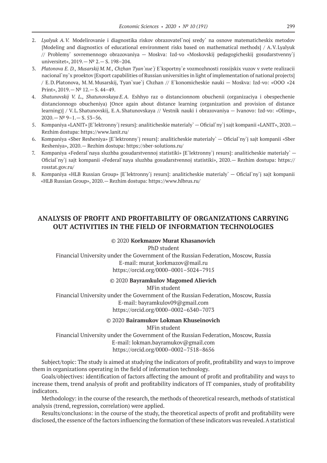- 2. *Lyalyuk A. V.* Modelirovanie i diagnostika riskov obrazovatel`noj sredy` na osnove matematicheskix metodov [Modeling and diagnostics of educational environment risks based on mathematical methods] / A.V.Lyalyuk // Problemy` sovremennogo obrazovaniya — Moskva: Izd-vo «Moskovskij pedagogicheskij gosudarstvenny`j universitet», 2019.—№ 2.— S. 198–204.
- 3. *Platonova E. D., Musarskij M. M., Chzhan Tyan`xue`j* E`ksportny`e vozmozhnosti rossijskix vuzov v svete realizacii nacional`ny`x proektov [Export capabilities of Russian universities in light of implementation of national projects] / E.D.Platonova, M.M.Musarskij, Tyan`xue`j Chzhan // E`konomicheskie nauki — Moskva: Izd-vo: «OOO «24 Print», 2019.—№ 12.— S. 44–49.
- 4. *Shatunovskij V. L., Shatunovskaya E. A.* Eshhyo raz o distancionnom obuchenii (organizaciya i obespechenie distancionnogo obucheniya) [Once again about distance learning (organization and provision of distance learning)] / V.L.Shatunovskij, E.A.Shatunovskaya // Vestnik nauki i obrazovaniya — Ivanovo: Izd-vo: «Olimp»,  $2020 - N^2$  9-1. - S. 53-56.
- 5. Kompaniya «LANIT» [E`lektronny`j resurs]: analiticheskie materialy` Oficial`ny`j sajt kompanii «LANIT», 2020.— Rezhim dostupa: https://www.lanit.ru/
- 6. Kompaniya «Sber Resheniya» [E`lektronny`j resurs]: analiticheskie materialy` Oficial`ny`j sajt kompanii «Sber Resheniya», 2020.— Rezhim dostupa: https://sber-solutions.ru/
- 7. Kompaniya «Federal`naya sluzhba gosudarstvennoj statistiki» [E`lektronny`j resurs]: analiticheskie materialy` Oficial`ny`j sajt kompanii «Federal`naya sluzhba gosudarstvennoj statistiki», 2020.— Rezhim dostupa: https:// rosstat.gov.ru/
- 8. Kompaniya «HLB Russian Group» [E`lektronny`j resurs]: analiticheskie materialy` Oficial`ny`j sajt kompanii «HLB Russian Group», 2020.— Rezhim dostupa: https://www.hlbrus.ru/

# **ANALYSIS OF PROFIT AND PROFITABILITY OF ORGANIZATIONS CARRYING OUT ACTIVITIES IN THE FIELD OF INFORMATION TECHNOLOGIES**

### © 2020 **Korkmazov Murat Khasanovich**

PhD student

Financial University under the Government of the Russian Federation, Moscow, Russia E-mail: murat\_korkmazov@mail.ru https://orcid.org/0000–0001–5024–7915

© 2020 **Bayramkulov Magomed Alievich**

MFin student

Financial University under the Government of the Russian Federation, Moscow, Russia E-mail: bayramkulov09@gmail.com https://orcid.org/0000–0002–6340–7073

#### © 2020 **Bairamukov Lokman Khuseinovich**

MFin student Financial University under the Government of the Russian Federation, Moscow, Russia E-mail: lokman.bayramukov@gmail.com https://orcid.org/0000–0002–7518–8656

Subject/topic: The study is aimed at studying the indicators of profit, profitability and ways to improve them in organizations operating in the field of information technology.

Goals/objectives: identification of factors affecting the amount of profit and profitability and ways to increase them, trend analysis of profit and profitability indicators of IT companies, study of profitability indicators.

Methodology: in the course of the research, the methods of theoretical research, methods of statistical analysis (trend, regression, correlation) were applied.

Results/conclusions: in the course of the study, the theoretical aspects of profit and profitability were disclosed, the essence of the factors influencing the formation of these indicators was revealed. A statistical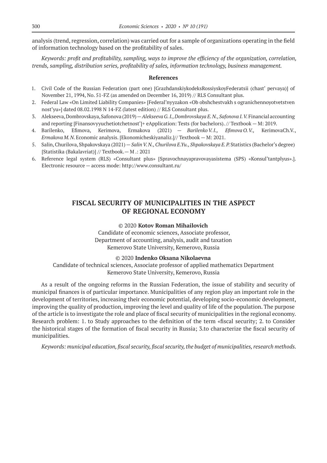analysis (trend, regression, correlation) was carried out for a sample of organizations operating in the field of information technology based on the profitability of sales.

*Keywords: profit and profitability, sampling, ways to improve the efficiency of the organization, correlation, trends, sampling, distribution series, profitability of sales, information technology, business management.*

#### **References**

- 1. Civil Code of the Russian Federation (part one) [GrazhdanskiykodeksRossiyskoyFederatsii (chast' pervaya)] of November 21, 1994, No. 51-FZ (as amended on December 16, 2019) // RLS Consultant plus.
- 2. Federal Law «On Limited Liability Companies» [Federal'nyyzakon «Ob obshchestvakh s ogranichennoyotvetstven nost'yu»] dated 08.02.1998 N 14-FZ (latest edition) // RLS Consultant plus.
- 3. Alekseeva, Dombrovskaya, Safonova (2019) Alekseeva G. I., Dombrovskaya E. N., Safonova I. V. Financial accounting and reporting [Finansovyyuchetiotchetnost']+ eApplication: Tests (for bachelors). // Textbook — M: 2019.
- 4. Barilenko, Efimova, Kerimova, Ermakova (2021) *Barilenko V. I., Efimova O. V.,* KerimovaCh.V., *Ermakova M.N.*Economic analysis. [Ekonomicheskiyanaliz.]// Textbook — M: 2021.
- 5. Salin, Churilova, Shpakovskaya (2021) *Salin V.N., Churilova E.Yu., Shpakovskaya E.* P. Statistics (Bachelor's degree) [Statistika (Bakalavriat)] // Textbook.— M .: 2021
- 6. Reference legal system (RLS) «Consultant plus» [Spravochnayapravovayasistema (SPS) «Konsul'tantplyus».]. Electronic resource — access mode: http://www.consultant.ru/

# **FISCAL SECURITY OF MUNICIPALITIES IN THE ASPECT OF REGIONAL ECONOMY**

### © 2020 **Kotov Roman Mihailovich**

Candidate of economic sciences, Associate professor, Department of accounting, analysis, audit and taxation Kemerovo State University, Kemerovo, Russia

#### © 2020 **Indenko Oksana Nikolaevna**

Candidate of technical sciences, Associate professor of applied mathematics Department Kemerovo State University, Kemerovo, Russia

As a result of the ongoing reforms in the Russian Federation, the issue of stability and security of municipal finances is of particular importance. Municipalities of any region play an important role in the development of territories, increasing their economic potential, developing socio-economic development, improving the quality of production, improving the level and quality of life of the population. The purpose of the article is to investigate the role and place of fiscal security of municipalities in the regional economy. Research problem: 1. to Study approaches to the definition of the term «fiscal security; 2. to Consider the historical stages of the formation of fiscal security in Russia; 3.to characterize the fiscal security of municipalities.

*Keywords: municipal education, fiscal security, fiscal security, the budget of municipalities, research methods.*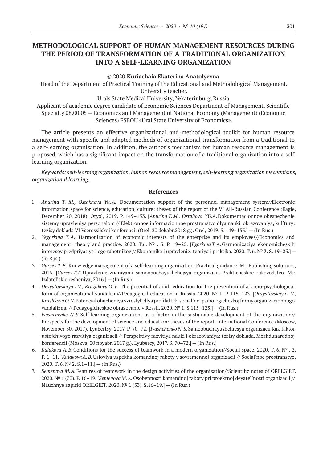# **METHODOLOGICAL SUPPORT OF HUMAN MANAGEMENT RESOURCES DURING THE PERIOD OF TRANSFORMATION OF A TRADITIONAL ORGANIZATION INTO A SELF-LEARNING ORGANIZATION**

#### © 2020 **Kuriachaia Ekaterina Anatolyevna**

Head of the Department of Practical Training of the Educational and Methodological Management. University teacher.

#### Urals State Medical University, Yekaterinburg, Russia

Applicant of academic degree candidate of Economic Sciences Department of Management, Scientific Specialty 08.00.05 — Economics and Management of National Economy (Management) (Economic Sciences) FSBOU «Ural State University of Economics».

The article presents an effective organizational and methodological toolkit for human resource management with specific and adapted methods of organizational transformation from a traditional to a self-learning organization. In addition, the author's mechanism for human resource management is proposed, which has a significant impact on the transformation of a traditional organization into a selflearning organization.

*Keywords: self-learning organization, human resource management, self-learning organization mechanisms, organizational learning.*

- 1. *Anurina T. M., Ostakhova Yu. A.* Documentation support of the personnel management system//Electronic information space for science, education, culture: theses of the report of the VI All-Russian Conference (Eagle, December 20, 2018). Oryol, 2019. P. 149–153. [*Anurina T. M., Ostahova YU.A*.Dokumentacionnoe obespechenie sistemy upravleniya personalom // Elektronnoe informacionnoe prostranstvo dlya nauki, obrazovaniya, kul'tury: tezisy doklada VI Vserossijskoj konferencii (Orel, 20 dekabr.2018 g.). Orel, 2019. S. 149–153.] — (In Rus.)
- 2. *Yegorkina T. A.* Harmonization of economic interests of the enterprise and its employees//Economics and management: theory and practice. 2020. T.6. № . 3. P. 19-25. [*Egorkina T.A.* Garmonizaciya ekonomicheskih interesov predpriyatiya i ego rabotnikov // Ekonomika i upravlenie: teoriya i praktika. 2020. T. 6. № 3. S. 19–25.] — (In Rus.)
- 3. *Gareev T. F.* Knowledge management of a self-learning organization. Practical guidance. M.: Publishing solutions, 2016. [*Gareev T. F.*Upravlenie znaniyami samoobuchayushchejsya organizacii. Prakticheskoe rukovodstvo. M.: Izdatel'skie resheniya, 2016.] — (In Rus.)
- 4. *Devyatovskaya I.V., Kruzhkova O.V.* The potential of adult education for the prevention of a socio-psychological form of organizational vandalism//Pedagogical education in Russia. 2020. № 1. P. 115–123. [*Devyatovskaya I. V., Kruzhkova O. V.*Potencial obucheniya vzroslyh dlya profilaktiki social'no-psihologicheskoj formy organizacionnogo vandalizma // Pedagogicheskoe obrazovanie v Rossii. 2020. № 1. S.115–123.] — (In Rus.)
- 5. *Ivashchenko N. S.*Self-learning organizations as a factor in the sustainable development of the organization// Prospects for the development of science and education: theses of the report. International Conference (Moscow, November 30. 2017). Lyubertsy, 2017. P. 70–72. [*Ivashchenko N. S.*Samoobuchayushchiesya organizacii kak faktor ustojchivogo razvitiya organizacii // Perspektivy razvitiya nauki i obrazovaniya: tezisy doklada. Mezhdunarodnoj konferencii (Moskva, 30 noyabr. 2017 g.). Lyubercy, 2017. S. 70–72.] — (In Rus.)
- 6. *Kulakova A.B.*Conditions for the success of teamwork in a modern organization//Social space. 2020. T. 6. № . 2. P. 1–11. [*KulakovaA.B.*Usloviya uspekha komandnoj raboty v sovremennoj organizacii // Social'noe prostranstvo. 2020. T. 6.  $N^2$  2. S. 1 – 11.] – (In Rus.)
- 7. *Semenova M.A.*Features of teamwork in the design activities of the organization//Scientific notes of ORELGIET. 2020. № 1 (33). P. 16–19. [*Semenova M.A.*Osobennosti komandnoj raboty pri proektnoj deyatel'nosti organizacii // Nauchnye zapiski ORELGIET. 2020. № 1 (33). S.16–19.] — (In Rus.)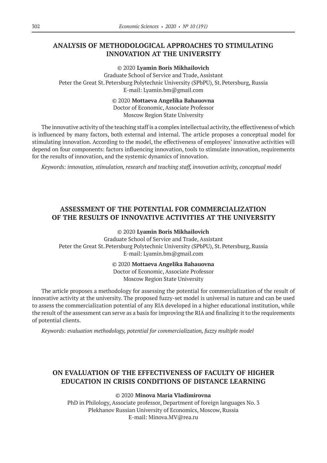# **ANALYSIS OF METHODOLOGICAL APPROACHES TO STIMULATING INNOVATION AT THE UNIVERSITY**

© 2020 **Lyamin Boris Mikhailovich** Graduate School of Service and Trade, Assistant Peter the Great St. Petersburg Polytechnic University (SPbPU), St. Petersburg, Russia E-mail: Lyamin.bm@gmail.com

> © 2020 **Mottaeva Angelika Bahauovna** Doctor of Economic, Associate Professor Moscow Region State University

The innovative activity of the teaching staff is a complex intellectual activity, the effectiveness of which is influenced by many factors, both external and internal. The article proposes a conceptual model for stimulating innovation. According to the model, the effectiveness of employees' innovative activities will depend on four components: factors influencing innovation, tools to stimulate innovation, requirements for the results of innovation, and the systemic dynamics of innovation.

*Keywords: innovation, stimulation, research and teaching staff, innovation activity, conceptual model*

# **ASSESSMENT OF THE POTENTIAL FOR COMMERCIALIZATION OF THE RESULTS OF INNOVATIVE ACTIVITIES AT THE UNIVERSITY**

© 2020 **Lyamin Boris Mikhailovich**

Graduate School of Service and Trade, Assistant Peter the Great St. Petersburg Polytechnic University (SPbPU), St. Petersburg, Russia E-mail: Lyamin.bm@gmail.com

© 2020 **Mottaeva Angelika Bahauovna**

Doctor of Economic, Associate Professor

Moscow Region State University

The article proposes a methodology for assessing the potential for commercialization of the result of innovative activity at the university. The proposed fuzzy-set model is universal in nature and can be used to assess the commercialization potential of any RIA developed in a higher educational institution, while the result of the assessment can serve as a basis for improving the RIA and finalizing it to the requirements of potential clients.

*Keywords: evaluation methodology, potential for commercialization, fuzzy multiple model*

# **ON EVALUATION OF THE EFFECTIVENESS OF FACULTY OF HIGHER EDUCATION IN CRISIS CONDITIONS OF DISTANCE LEARNING**

© 2020 **Minova Maria Vladimirovna**

PhD in Philology, Associate professor, Department of foreign languages No. 3 Plekhanov Russian University of Economics, Moscow, Russia E-mail: Minova.MV@rea.ru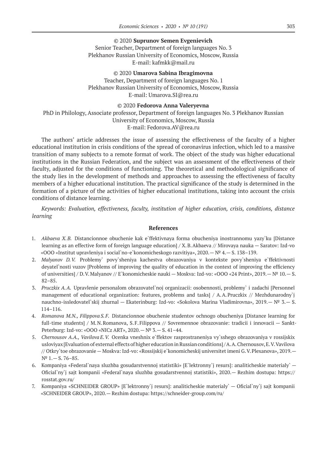### © 2020 **Suprunov Semen Evgenievich** Senior Teacher, Department of foreign languages No. 3 Plekhanov Russian University of Economics, Moscow, Russia E-mail: kafmkk@mail.ru

© 2020 **Umarova Sabina Ibragimovna** Teacher, Department of foreign languages No. 1 Plekhanov Russian University of Economics, Moscow, Russia E-mail: Umarova.SI@rea.ru

### © 2020 **Fedorova Anna Valeryevna**

PhD in Philology, Associate professor, Department of foreign languages No. 3 Plekhanov Russian University of Economics, Moscow, Russia E-mail: Fedorova.AV@rea.ru

The authors' article addresses the issue of assessing the effectiveness of the faculty of a higher educational institution in crisis conditions of the spread of coronavirus infection, which led to a massive transition of many subjects to a remote format of work. The object of the study was higher educational institutions in the Russian Federation, and the subject was an assessment of the effectiveness of their faculty, adjusted for the conditions of functioning. The theoretical and methodological significance of the study lies in the development of methods and approaches to assessing the effectiveness of faculty members of a higher educational institution. The practical significance of the study is determined in the formation of a picture of the activities of higher educational institutions, taking into account the crisis conditions of distance learning.

*Keywords: Evaluation, effectiveness, faculty, institution of higher education, crisis, conditions, distance learning*

- 1. *Akbaeva X. B.* Distancionnoe obuchenie kak e`ffektivnaya forma obucheniya inostrannomu yazy`ku [Distance learning as an effective form of foreign language education] / X.B.Akbaeva // Mirovaya nauka — Saratov: Izd-vo «OOO «Institut upravleniya i social`no-e`konomicheskogo razvitiya», 2020.—№ 4.— S. 138–139.
- 2. *Malyanov D. V.* Problemy` povy`sheniya kachestva obrazovaniya v kontekste povy`sheniya e`ffektivnosti deyatel`nosti vuzov [Problems of improving the quality of education in the context of improving the efficiency of universities] / D.V.Malyanov // E`konomicheskie nauki — Moskva: Izd-vo: «OOO «24 Print», 2019.— № 10.— S. 82–85.
- 3. *Pruczkix A.A.* Upravlenie personalom obrazovatel`noj organizacii: osobennosti, problemy` i zadachi [Personnel management of educational organization: features, problems and tasks] / A.A.Pruczkix // Mezhdunarodny`j nauchno-issledovatel`skij zhurnal — Ekaterinburg: Izd-vo: «Sokolova Marina Vladimirovna», 2019.— № 3.— S. 114–116.
- 4. *Romanova M.N., Filippova S.F.* Distancionnoe obuchenie studentov ochnogo obucheniya [Distance learning for full-time students] / M.N.Romanova, S.F.Filippova // Sovremennoe obrazovanie: tradicii i innovacii — Sankt-Peterburg: Izd-vo: «OOO «NICz ART», 2020.—№ 3.— S. 41–44.
- 5. *Chernousov A.A., Vavilova E. V.* Ocenka vneshnix e`ffektov rasprostraneniya vy`sshego obrazovaniya v rossijskix usloviyax [Evaluation of external effects of higher education in Russian conditions] / A.A.Chernousov, E.V.Vavilova // Otkry`toe obrazovanie — Moskva: Izd-vo: «Rossijskij e`konomicheskij universitet imeni G.V.Plexanova», 2019.— N<sup>o</sup> 1. − S. 76 – 85.
- 6. Kompaniya «Federal`naya sluzhba gosudarstvennoj statistiki» [E`lektronny`j resurs]: analiticheskie materialy` Oficial`ny`j sajt kompanii «Federal`naya sluzhba gosudarstvennoj statistiki», 2020.— Rezhim dostupa: https:// rosstat.gov.ru/
- 7. Kompaniya «SCHNEIDER GROUP» [E`lektronny`j resurs]: analiticheskie materialy` Oficial`ny`j sajt kompanii «SCHNEIDER GROUP», 2020.— Rezhim dostupa: https://schneider-group.com/ru/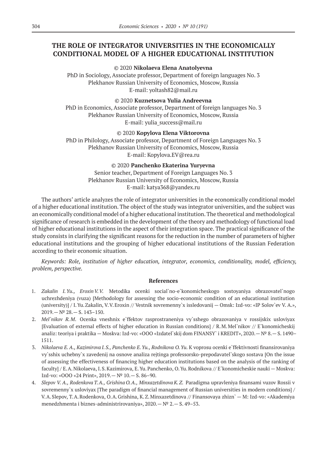# **THE ROLE OF INTEGRATOR UNIVERSITIES IN THE ECONOMICALLY CONDITIONAL MODEL OF A HIGHER EDUCATIONAL INSTITUTION**

### © 2020 **Nikolaeva Elena Anatolyevna**

PhD in Sociology, Associate professor, Department of foreign languages No. 3 Plekhanov Russian University of Economics, Moscow, Russia E-mail: yoltash82@mail.ru

### © 2020 **Kuznetsova Yulia Andreevna**

PhD in Economics, Associate professor, Department of foreign languages No. 3 Plekhanov Russian University of Economics, Moscow, Russia E-mail: yulia\_success@mail.ru

### © 2020 **Kopylova Elena Viktorovna**

PhD in Philology, Associate professor, Department of Foreign Languages No. 3 Plekhanov Russian University of Economics, Moscow, Russia E-mail: Kopylova.EV@rea.ru

### © 2020 **Panchenko Ekaterina Yuryevna**

Senior teacher, Department of Foreign Languages No. 3 Plekhanov Russian University of Economics, Moscow, Russia E-mail: katya368@yandex.ru

The authors' article analyzes the role of integrator universities in the economically conditional model of a higher educational institution. The object of the study was integrator universities, and the subject was an economically conditional model of a higher educational institution. The theoretical and methodological significance of research is embedded in the development of the theory and methodology of functional load of higher educational institutions in the aspect of their integration space. The practical significance of the study consists in clarifying the significant reasons for the reduction in the number of parameters of higher educational institutions and the grouping of higher educational institutions of the Russian Federation according to their economic situation.

*Keywords: Role, institution of higher education, integrator, economics, conditionality, model, efficiency, problem, perspective.*

- 1. *Zakalin I. Yu., Eroxin V. V.* Metodika ocenki social`no-e`konomicheskogo sostoyaniya obrazovatel`nogo uchrezhdeniya (vuza) [Methodology for assessing the socio-economic condition of an educational institution (university)] / I.Yu.Zakalin, V.V.Eroxin // Vestnik sovremenny`x issledovanij — Omsk: Izd-vo: «IP Solov`ev V. A.», 2019.—№ 28.— S. 143–150.
- 2. *Mel`nikov R. M*. Ocenka vneshnix e`ffektov rasprostraneniya vy`sshego obrazovaniya v rossijskix usloviyax [Evaluation of external effects of higher education in Russian conditions] / R.M.Mel`nikov // E`konomicheskij analiz: teoriya i praktika — Moskva: Izd-vo: «OOO «Izdatel`skij dom FINANSY` i KREDIT», 2020.—№ 8.— S. 1490– 1511.
- 3. *Nikolaeva E. A., Kazimirova I. S., Panchenko E. Yu., Rodnikova O. Yu.* K voprosu ocenki e`ffektivnosti finansirovaniya vy`sshix uchebny`x zavedenij na osnove analiza rejtinga professorsko-prepodavatel`skogo sostava [On the issue of assessing the effectiveness of financing higher education institutions based on the analysis of the ranking of faculty] / E.A.Nikolaeva, I.S.Kazimirova, E.Yu.Panchenko, O.Yu.Rodnikova // E`konomicheskie nauki — Moskva: Izd-vo: «OOO «24 Print», 2019.—№ 10.— S. 86–90.
- 4. *Slepov V. A., Rodenkova T. A., Grishina O. A., Minxazetdinova K. Z.* Paradigma upravleniya finansami vuzov Rossii v sovremenny`x usloviyax [The paradigm of financial management of Russian universities in modern conditions] / V.A.Slepov, T.A.Rodenkova, O.A.Grishina, K.Z.Minxazetdinova // Finansovaya zhizn` — M: Izd-vo: «Akademiya menedzhmenta i biznes-administrirovaniya», 2020.—№ 2.— S. 49–53.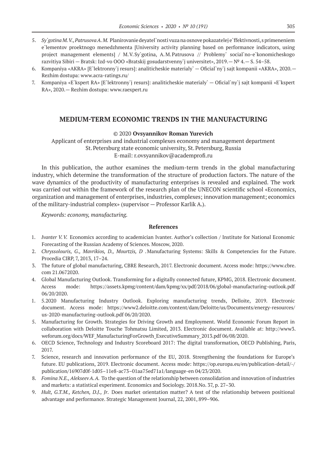- 5. *Sy*'gotina *M.V., Patrusova A. M.* Planirovanie deyatel`nosti vuza na osnove pokazatelej e`ffektivnosti, s primeneniem e`lementov proektnogo menedzhmenta [University activity planning based on performance indicators, using project management elements] / M.V.Sy`gotina, A.M.Patrusova // Problemy` social`no-e`konomicheskogo razvitiya Sibiri — Bratsk: Izd-vo OOO «Bratskij gosudarstvenny`j universitet», 2019.—№ 4.— S. 54–58.
- 6. Kompaniya «AKRA» [E`lektronny`j resurs]: analiticheskie materialy` Oficial`ny`j sajt kompanii «AKRA», 2020.— Rezhim dostupa: www.acra-ratings.ru/
- 7. Kompaniya «E`kspert RA» [E`lektronny`j resurs]: analiticheskie materialy` Oficial`ny`j sajt kompanii «E`kspert RA», 2020.— Rezhim dostupa: www.raexpert.ru

### **MEDIUM-TERM ECONOMIC TRENDS IN THE MANUFACTURING**

#### © 2020 **Ovsyannikov Roman Yurevich**

Applicant of enterprises and industrial complexes economy and management department St.Petersburg state economic university, St.Petersburg, Russia E-mail: r.ovsyannikov@academprofi.ru

In this publication, the author examines the medium-term trends in the global manufacturing industry, which determine the transformation of the structure of production factors. The nature of the wave dynamics of the productivity of manufacturing enterprises is revealed and explained. The work was carried out within the framework of the research plan of the UNECON scientific school «Economics, organization and management of enterprises, industries, complexes; innovation management; economics of the military-industrial complex» (supervisor — Professor Karlik A.).

*Keywords: economy, manufacturing.*

- 1. *Ivanter V.V.* Economics according to academician Ivanter. Author's collection / Institute for National Economic Forecasting of the Russian Academy of Sciences. Moscow, 2020.
- 2. *Chryssolouris, G., Mavrikios, D., Mourtzis, D* .Manufacturing Systems: Skills & Competencies for the Future. Procedia CIRP, 7, 2013, 17–24.
- 3. The future of global manufacturing, CBRE Research, 2017. Electronic document. Access mode: https://www.cbre. com 21.0672020.
- 4. Global Manufacturing Outlook. Transforming for a digitally connected future, KPMG, 2018. Electronic document. Access mode: https://assets.kpmg/content/dam/kpmg/xx/pdf/2018/06/global-manufacturing-outlook.pdf 06/20/2020.
- 1. 5.2020 Manufacturing Industry Outlook. Exploring manufacturing trends, Delloite, 2019. Electronic document. Access mode: https://www2.deloitte.com/content/dam/Deloitte/us/Documents/energy-resources/ us‑2020‑manufacturing-outlook.pdf 06/20/2020.
- 5. Manufacturing for Growth. Strategies for Driving Growth and Employment. World Economic Forum Report in collaboration with Deloitte Touche Tohmatsu Limited, 2013. Electronic document. Available at: http://www3. weforum.org/docs/WEF\_ManufacturingForGrowth\_ExecutiveSummary\_2013.pdf 06/08/2020.
- 6. OECD Science, Technology and Industry Scoreboard 2017: The digital transformation, OECD Publishing, Paris, 2017.
- 7. Science, research and innovation performance of the EU, 2018. Strengthening the foundations for Europe's future. EU publications, 2019. Electronic document. Access mode: https://op.europa.eu/en/publication-detail/-/ publication/16907d0f‑1d05–11e8‑ac73–01aa75ed71a1/language-en 04/23/2020.
- 8. *Fomina N.E., AlekseevA.A.* To the question of the relationship between consolidation and innovation of industries and markets: a statistical experiment. Economics and Sociology. 2018.No. 37, p. 27–30.
- 9. *Hult, G.T.M., Ketchen, D.J., Jr*. Does market orientation matter? A test of the relationship between positional advantage and performance. Strategic Management Journal, 22, 2001, 899–906.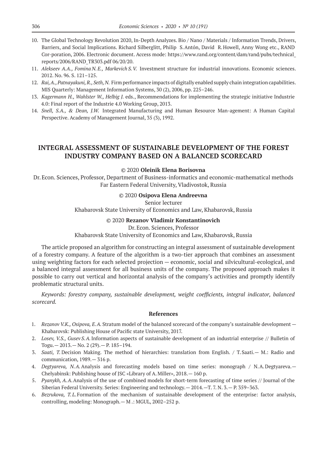- 10. The Global Technology Revolution 2020, In-Depth Analyzes. Bio / Nano / Materials / Information Trends, Drivers, Barriers, and Social Implications. Richard Silberglitt, Philip S.Antón, David R.Howell, Anny Wong etc., RAND Cor-poration, 2006. Electronic document. Access mode: https://www.rand.org/content/dam/rand/pubs/technical\_ reports/2006/RAND\_TR303.pdf 06/20/20.
- 11. *Alekseev A.A., Fomina N.E., Markevich S.V.* Investment structure for industrial innovations. Economic sciences. 2012. No. 96. S. 121–125.
- 12. *Rai, A., Patnayakuni, R., Seth, N.* Firm performance impacts of digitally enabled supply chain integration capabilities. MIS Quarterly: Management Information Systems, 30 (2), 2006, pp. 225–246.
- 13. *Kagermann H., Wahlster W., Helbig J.* eds., Recommendations for implementing the strategic initiative Industrie 4.0: Final report of the Industrie 4.0 Working Group, 2013.
- 14. *Snell, S.A., & Dean, J.W.* Integrated Manufacturing and Human Resource Man-agement: A Human Capital Perspective. Academy of Management Journal, 35 (3), 1992.

# **INTEGRAL ASSESSMENT OF SUSTAINABLE DEVELOPMENT OF THE FOREST INDUSTRY COMPANY BASED ON A BALANCED SCORECARD**

### © 2020 **Oleinik Elena Borisovna**

Dr.Econ. Sciences, Professor, Department of Business-informatics and economic-mathematical methods Far Eastern Federal University, Vladivostok, Russia

### © 2020 **Osipova Elena Andreevna**

Senior lecturer

Khabarovsk State University of Economics and Law, Khabarovsk, Russia

#### © 2020 **Rezanov Vladimir Konstantinovich**

Dr.Econ. Sciences, Professor

Khabarovsk State University of Economics and Law, Khabarovsk, Russia

The article proposed an algorithm for constructing an integral assessment of sustainable development of a forestry company. A feature of the algorithm is a two-tier approach that combines an assessment using weighting factors for each selected projection — economic, social and silvicultural-ecological, and a balanced integral assessment for all business units of the company. The proposed approach makes it possible to carry out vertical and horizontal analysis of the company's activities and promptly identify problematic structural units.

*Keywords: forestry company, sustainable development, weight coefficients, integral indicator, balanced scorecard.*

- 1. *Rezanov V.K., Osipova, E. A.* Stratum model of the balanced scorecard of the company's sustainable development Khabarovsk: Publishing House of Pacific state University, 2017.
- 2. *Losev, V.S., Gusev S.A.* Information aspects of sustainable development of an industrial enterprise // Bulletin of Togu.— 2013.— No. 2 (29).— P. 185–194.
- 3. *Saati, T.* Decision Making. The method of hierarchies: translation from English. / T.Saati.— M.: Radio and communication, 1989.— 316 p.
- 4. *Degtyareva, N.A.*Analysis and forecasting models based on time series: monograph / N.A.Degtyareva. Chelyabinsk: Publishing house of JSC «Library of A.Miller», 2018.— 160 p.
- 5. *Pyanykh, A.A*.Analysis of the use of combined models for short-term forecasting of time series // Journal of the Siberian Federal University. Series: Engineering and technology.— 2014.—T. 7. N. 3.— P. 359–363.
- 6. *Bezrukova, T. L*.Formation of the mechanism of sustainable development of the enterprise: factor analysis, controlling, modeling: Monograph.— M .: MGUL, 2002–252 p.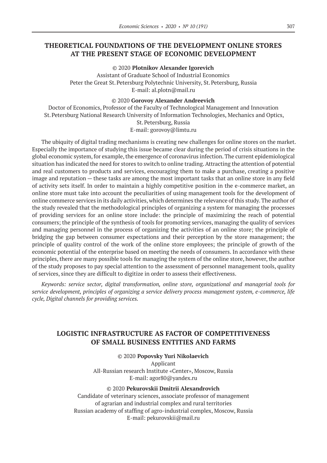# **THEORETICAL FOUNDATIONS OF THE DEVELOPMENT ONLINE STORES AT THE PRESENT STAGE OF ECONOMIC DEVELOPMENT**

© 2020 **Plotnikov Alexander Igorevich**

Assistant of Graduate School of Industrial Economics Peter the Great St. Petersburg Polytechnic University, St. Petersburg, Russia E-mail: al.plotn@mail.ru

### © 2020 **Gorovoy Alexander Andreevich**

Doctor of Economics, Professor of the Faculty of Technological Management and Innovation St.Petersburg National Research University of Information Technologies, Mechanics and Optics, St.Petersburg, Russia E-mail: gorovoy@limtu.ru

The ubiquity of digital trading mechanisms is creating new challenges for online stores on the market. Especially the importance of studying this issue became clear during the period of crisis situations in the global economic system, for example, the emergence of coronavirus infection. The current epidemiological situation has indicated the need for stores to switch to online trading. Attracting the attention of potential and real customers to products and services, encouraging them to make a purchase, creating a positive image and reputation — these tasks are among the most important tasks that an online store in any field of activity sets itself. In order to maintain a highly competitive position in the e-commerce market, an online store must take into account the peculiarities of using management tools for the development of online commerce services in its daily activities, which determines the relevance of this study. The author of the study revealed that the methodological principles of organizing a system for managing the processes of providing services for an online store include: the principle of maximizing the reach of potential consumers; the principle of the synthesis of tools for promoting services, managing the quality of services and managing personnel in the process of organizing the activities of an online store; the principle of bridging the gap between consumer expectations and their perception by the store management; the principle of quality control of the work of the online store employees; the principle of growth of the economic potential of the enterprise based on meeting the needs of consumers. In accordance with these principles, there are many possible tools for managing the system of the online store, however, the author of the study proposes to pay special attention to the assessment of personnel management tools, quality of services, since they are difficult to digitize in order to assess their effectiveness.

*Keywords: service sector, digital transformation, online store, organizational and managerial tools for service development, principles of organizing a service delivery process management system, e-commerce, life cycle, Digital channels for providing services.*

# **LOGISTIC INFRASTRUCTURE AS FACTOR OF COMPETITIVENESS OF SMALL BUSINESS ENTITIES AND FARMS**

© 2020 **Popovsky Yuri Nikolaevich** Applicant All-Russian research Institute «Center», Moscow, Russia E-mail: agor80@yandex.ru

© 2020 **Pekurovskii Dmitrii Alexandrovich** Candidate of veterinary sciences, associate professor of management of agrarian and industrial complex and rural territories Russian academy of staffing of agro-industrial complex, Moscow, Russia E-mail: pekurovskii@mail.ru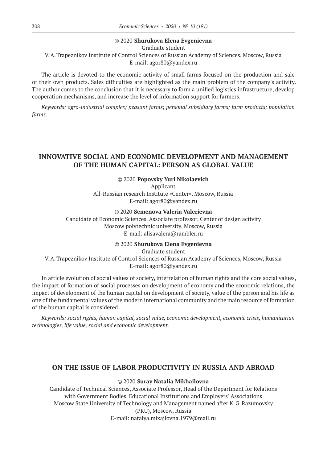### © 2020 **Shurukova Elena Evgenievna**

Graduate student

V.A.Trapeznikov Institute of Control Sciences of Russian Academy of Sciences, Moscow, Russia E-mail: agor80@yandex.ru

The article is devoted to the economic activity of small farms focused on the production and sale of their own products. Sales difficulties are highlighted as the main problem of the company's activity. The author comes to the conclusion that it is necessary to form a unified logistics infrastructure, develop cooperation mechanisms, and increase the level of information support for farmers.

*Keywords: agro-industrial complex; peasant farms; personal subsidiary farms; farm products; population farms.*

# **INNOVATIVE SOCIAL AND ECONOMIC DEVELOPMENT AND MANAGEMENT OF THE HUMAN CAPITAL: PERSON AS GLOBAL VALUE**

© 2020 **Popovsky Yuri Nikolaevich** Applicant All-Russian research Institute «Center», Moscow, Russia E-mail: agor80@yandex.ru

© 2020 **Semenova Valeria Valerievna** Candidate of Economic Sciences, Associate professor, Center of design activity Moscow polytechnic university, Moscow, Russia E-mail: alisavalera@rambler.ru

© 2020 **Shurukova Elena Evgenievna**

Graduate student V.A.Trapeznikov Institute of Control Sciences of Russian Academy of Sciences, Moscow, Russia E-mail: agor80@yandex.ru

In article evolution of social values of society, interrelation of human rights and the core social values, the impact of formation of social processes on development of economy and the economic relations, the impact of development of the human capital on development of society, value of the person and his life as one of the fundamental values of the modern international community and the main resource of formation of the human capital is considered.

*Keywords: social rights, human capital, social value, economic development, economic crisis, humanitarian technologies, life value, social and economic development.*

### **ON THE ISSUE OF LABOR PRODUCTIVITY IN RUSSIA AND ABROAD**

### © 2020 **Suray Natalia Mikhailovna**

Candidate of Technical Sciences, Associate Professor, Head of the Department for Relations with Government Bodies, Educational Institutions and Employers' Associations Moscow State University of Technology and Management named after K.G.Razumovsky (PKU), Moscow, Russia E-mail: natalya.mixajlovna.1979@mail.ru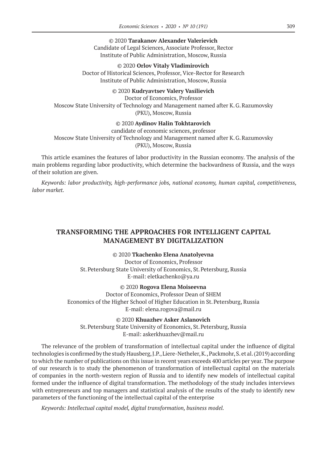© 2020 **Tarakanov Alexander Valerievich** Candidate of Legal Sciences, Associate Professor, Rector Institute of Public Administration, Moscow, Russia

© 2020 **Orlov Vitaly Vladimirovich** Doctor of Historical Sciences, Professor, Vice-Rector for Research Institute of Public Administration, Moscow, Russia

#### © 2020 **Kudryavtsev Valery Vasilievich**

Doctor of Economics, Professor Moscow State University of Technology and Management named after K.G.Razumovsky (PKU), Moscow, Russia

### © 2020 **Aydinov Halin Tokhtarovich**

candidate of economic sciences, professor Moscow State University of Technology and Management named after K.G.Razumovsky (PKU), Moscow, Russia

This article examines the features of labor productivity in the Russian economy. The analysis of the main problems regarding labor productivity, which determine the backwardness of Russia, and the ways of their solution are given.

*Keywords: labor productivity, high-performance jobs, national economy, human capital, competitiveness, labor market.*

# **TRANSFORMING THE APPROACHES FOR INTELLIGENT CAPITAL MANAGEMENT BY DIGITALIZATION**

© 2020 **Tkachenko Elena Anatolyevna** Doctor of Economics, Professor

St.Petersburg State University of Economics, St.Petersburg, Russia E-mail: eletkachenko@ya.ru

© 2020 **Rogova Elena Moiseevna**

Doctor of Economics, Professor Dean of SHEM Economics of the Higher School of Higher Education in St. Petersburg, Russia E-mail: elena.rogova@mail.ru

© 2020 **Khuazhev Asker Aslanovich** St.Petersburg State University of Economics, St.Petersburg, Russia E-mail: askerkhuazhev@mail.ru

The relevance of the problem of transformation of intellectual capital under the influence of digital technologies is confirmed by the study Hausberg, J.P., Liere-Netheler, K., Packmohr, S. et al. (2019) according to which the number of publications on this issue in recent years exceeds 400 articles per year. The purpose of our research is to study the phenomenon of transformation of intellectual capital on the materials of companies in the north-western region of Russia and to identify new models of intellectual capital formed under the influence of digital transformation. The methodology of the study includes interviews with entrepreneurs and top managers and statistical analysis of the results of the study to identify new parameters of the functioning of the intellectual capital of the enterprise

*Keywords: Intellectual capital model, digital transformation, business model.*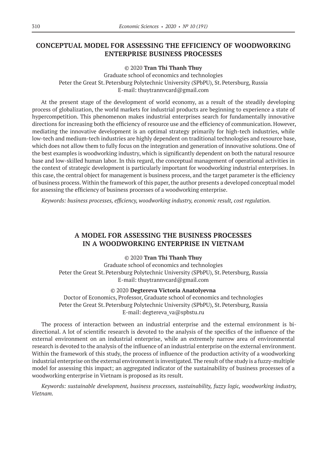# **CONCEPTUAL MODEL FOR ASSESSING THE EFFICIENCY OF WOODWORKING ENTERPRISE BUSINESS PROCESSES**

© 2020 **Tran Thi Thanh Thuy**

Graduate school of economics and technologies Peter the Great St. Petersburg Polytechnic University (SPbPU), St. Petersburg, Russia E-mail: thuytrannvcard@gmail.com

At the present stage of the development of world economy, as a result of the steadily developing process of globalization, the world markets for industrial products are beginning to experience a state of hypercompetition. This phenomenon makes industrial enterprises search for fundamentally innovative directions for increasing both the efficiency of resource use and the efficiency of communication. However, mediating the innovative development is an optimal strategy primarily for high-tech industries, while low-tech and medium-tech industries are highly dependent on traditional technologies and resource base, which does not allow them to fully focus on the integration and generation of innovative solutions. One of the best examples is woodworking industry, which is significantly dependent on both the natural resource base and low-skilled human labor. In this regard, the conceptual management of operational activities in the context of strategic development is particularly important for woodworking industrial enterprises. In this case, the central object for management is business process, and the target parameter is the efficiency of business process. Within the framework of this paper, the author presents a developed conceptual model for assessing the efficiency of business processes of a woodworking enterprise.

*Keywords: business processes, efficiency, woodworking industry, economic result, cost regulation.*

## **A MODEL FOR ASSESSING THE BUSINESS PROCESSES IN A WOODWORKING ENTERPRISE IN VIETNAM**

### © 2020 **Tran Thi Thanh Thuy**

Graduate school of economics and technologies Peter the Great St. Petersburg Polytechnic University (SPbPU), St. Petersburg, Russia E-mail: thuytrannvcard@gmail.com

#### © 2020 **Degtereva Victoria Anatolyevna**

Doctor of Economics, Professor, Graduate school of economics and technologies Peter the Great St. Petersburg Polytechnic University (SPbPU), St. Petersburg, Russia E-mail: degtereva\_va@spbstu.ru

The process of interaction between an industrial enterprise and the external environment is bidirectional. A lot of scientific research is devoted to the analysis of the specifics of the influence of the external environment on an industrial enterprise, while an extremely narrow area of environmental research is devoted to the analysis of the influence of an industrial enterprise on the external environment. Within the framework of this study, the process of influence of the production activity of a woodworking industrial enterprise on the external environment is investigated. The result of the study is a fuzzy-multiple model for assessing this impact; an aggregated indicator of the sustainability of business processes of a woodworking enterprise in Vietnam is proposed as its result.

*Keywords: sustainable development, business processes, sustainability, fuzzy logic, woodworking industry, Vietnam.*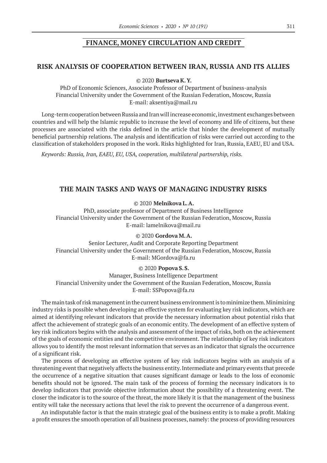## **FINANCE, MONEY CIRCULATION AND CREDIT**

### **RISK ANALYSIS OF COOPERATION BETWEEN IRAN, RUSSIA AND ITS ALLIES**

© 2020 **Burtseva K.Y.**

PhD of Economic Sciences, Associate Professor of Department of business-analysis Financial University under the Government of the Russian Federation, Moscow, Russia E-mail: aksentiya@mail.ru

Long-term cooperation between Russia and Iran will increase economic, investment exchanges between countries and will help the Islamic republic to increase the level of economy and life of citizens, but these processes are associated with the risks defined in the article that hinder the development of mutually beneficial partnership relations. The analysis and identification of risks were carried out according to the classification of stakeholders proposed in the work. Risks highlighted for Iran, Russia, EAEU, EU and USA.

*Keywords: Russia, Iran, EAEU, EU, USA, cooperation, multilateral partnership, risks.*

### **THE MAIN TASKS AND WAYS OF MANAGING INDUSTRY RISKS**

© 2020 **Melnikova L.A.**

PhD, associate professor of Department of Business Intelligence Financial University under the Government of the Russian Federation, Moscow, Russia E-mail: lamelnikova@mail.ru

### © 2020 **Gordova M.A.**

Senior Lecturer, Audit and Corporate Reporting Department Financial University under the Government of the Russian Federation, Moscow, Russia E-mail: MGordova@fa.ru

### © 2020 **Popova S.S.**

Manager, Business Intelligence Department Financial University under the Government of the Russian Federation, Moscow, Russia E-mail: SSPopova@fa.ru

The main task of risk management in the current business environment is to minimize them. Minimizing industry risks is possible when developing an effective system for evaluating key risk indicators, which are aimed at identifying relevant indicators that provide the necessary information about potential risks that affect the achievement of strategic goals of an economic entity. The development of an effective system of key risk indicators begins with the analysis and assessment of the impact of risks, both on the achievement of the goals of economic entities and the competitive environment. The relationship of key risk indicators allows you to identify the most relevant information that serves as an indicator that signals the occurrence of a significant risk.

The process of developing an effective system of key risk indicators begins with an analysis of a threatening event that negatively affects the business entity. Intermediate and primary events that precede the occurrence of a negative situation that causes significant damage or leads to the loss of economic benefits should not be ignored. The main task of the process of forming the necessary indicators is to develop indicators that provide objective information about the possibility of a threatening event. The closer the indicator is to the source of the threat, the more likely it is that the management of the business entity will take the necessary actions that level the risk to prevent the occurrence of a dangerous event.

An indisputable factor is that the main strategic goal of the business entity is to make a profit. Making a profit ensures the smooth operation of all business processes, namely: the process of providing resources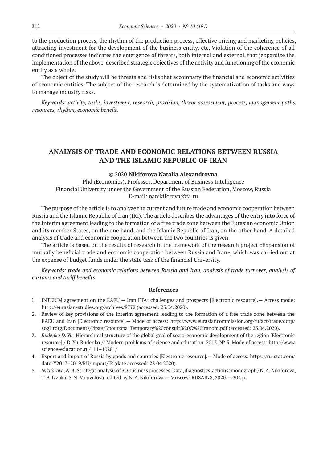to the production process, the rhythm of the production process, effective pricing and marketing policies, attracting investment for the development of the business entity, etc. Violation of the coherence of all conditioned processes indicates the emergence of threats, both internal and external, that jeopardize the implementation of the above-described strategic objectives of the activity and functioning of the economic entity as a whole.

The object of the study will be threats and risks that accompany the financial and economic activities of economic entities. The subject of the research is determined by the systematization of tasks and ways to manage industry risks.

*Keywords: activity, tasks, investment, research, provision, threat assessment, process, management paths, resources, rhythm, economic benefit.*

# **ANALYSIS OF TRADE AND ECONOMIC RELATIONS BETWEEN RUSSIA AND THE ISLAMIC REPUBLIC OF IRAN**

#### © 2020 **Nikiforova Natalia Alexandrovna**

Phd (Economics), Professor, Department of Business Intelligence Financial University under the Government of the Russian Federation, Moscow, Russia E-mail: nanikiforova@fa.ru

The purpose of the article is to analyze the current and future trade and economic cooperation between Russia and the Islamic Republic of Iran (IRI). The article describes the advantages of the entry into force of the Interim agreement leading to the formation of a free trade zone between the Eurasian economic Union and its member States, on the one hand, and the Islamic Republic of Iran, on the other hand. A detailed analysis of trade and economic cooperation between the two countries is given.

The article is based on the results of research in the framework of the research project «Expansion of mutually beneficial trade and economic cooperation between Russia and Iran», which was carried out at the expense of budget funds under the state task of the financial University.

*Keywords: trade and economic relations between Russia and Iran, analysis of trade turnover, analysis of customs and tariff benefits*

- 1. INTERIM agreement on the EAEU Iran FTA: challenges and prospects [Electronic resource].— Access mode: http://eurasian-studies.org/archives/8772 (accessed: 23.04.2020).
- 2. Review of key provisions of the Interim agreement leading to the formation of a free trade zone between the EAEU and Iran [Electronic resource].— Mode of access: http://www.eurasiancommission.org/ru/act/trade/dotp/ sogl\_torg/Documents/Иран/Брошюра\_Temporary%20consult%20C%20iranom.pdf (accessed: 23.04.2020).
- 3. *Rudenko D. Yu.* Hierarchical structure of the global goal of socio-economic development of the region [Electronic resource] / D.Yu.Rudenko // Modern problems of science and education. 2013. № 5. Mode of access: http://www. science-education.ru/111–10281/
- 4. Export and import of Russia by goods and countries [Electronic resource].— Mode of access: https://ru-stat.com/ date-Y2017–2019/RU/import/IR (date accessed: 23.04.2020).
- 5. *Nikiforova, N. A.* Strategic analysis of 3D business processes. Data, diagnostics, actions: monograph / N.A.Nikiforova, T.B.Izzuka, S.N.Milovidova; edited by N.A.Nikiforova.— Moscow: RUSAINS, 2020.— 304 p.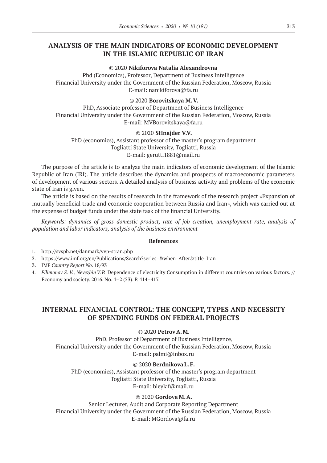# **ANALYSIS OF THE MAIN INDICATORS OF ECONOMIC DEVELOPMENT IN THE ISLAMIC REPUBLIC OF IRAN**

#### © 2020 **Nikiforova Natalia Alexandrovna**

Phd (Economics), Professor, Department of Business Intelligence Financial University under the Government of the Russian Federation, Moscow, Russia E-mail: nanikiforova@fa.ru

### © 2020 **Borovitskaya M.V.**

PhD, Associate professor of Department of Business Intelligence Financial University under the Government of the Russian Federation, Moscow, Russia E-mail: MVBorovitskaya@fa.ru

### © 2020 **SHnajder V.V.**

PhD (economics), Assistant professor of the master's program department Togliatti State University, Togliatti, Russia E-mail: gerutti1881@mail.ru

The purpose of the article is to analyze the main indicators of economic development of the Islamic Republic of Iran (IRI). The article describes the dynamics and prospects of macroeconomic parameters of development of various sectors. A detailed analysis of business activity and problems of the economic state of Iran is given.

The article is based on the results of research in the framework of the research project «Expansion of mutually beneficial trade and economic cooperation between Russia and Iran», which was carried out at the expense of budget funds under the state task of the financial University.

*Keywords: dynamics of gross domestic product, rate of job creation, unemployment rate, analysis of population and labor indicators, analysis of the business environment*

### **References**

- 1. http://svspb.net/danmark/vvp-stran.php
- 2. https://www.imf.org/en/Publications/Search?series=&when=After&title=Iran
- 3. IMF *Country Report No.* 18/93
- 4. Filimonov *S. V., Nevezhin V.P.* Dependence of electricity Consumption in different countries on various factors. // Economy and society. 2016. No. 4–2 (23). P. 414–417.

# **INTERNAL FINANCIAL CONTROL: THE CONCEPT, TYPES AND NECESSITY OF SPENDING FUNDS ON FEDERAL PROJECTS**

© 2020 **Petrov A.M.**

PhD, Professor of Department of Business Intelligence, Financial University under the Government of the Russian Federation, Moscow, Russia E-mail: palmi@inbox.ru

### © 2020 **Berdnikova L.F.**

PhD (economics), Assistant professor of the master's program department Togliatti State University, Togliatti, Russia E-mail: bleylaf@mail.ru

### © 2020 **Gordova M.A.**

Senior Lecturer, Audit and Corporate Reporting Department Financial University under the Government of the Russian Federation, Moscow, Russia E-mail: MGordova@fa.ru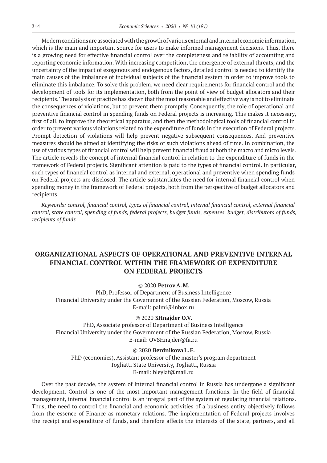Modern conditions are associated with the growth of various external and internal economic information, which is the main and important source for users to make informed management decisions. Thus, there is a growing need for effective financial control over the completeness and reliability of accounting and reporting economic information. With increasing competition, the emergence of external threats, and the uncertainty of the impact of exogenous and endogenous factors, detailed control is needed to identify the main causes of the imbalance of individual subjects of the financial system in order to improve tools to eliminate this imbalance. To solve this problem, we need clear requirements for financial control and the development of tools for its implementation, both from the point of view of budget allocators and their recipients. The analysis of practice has shown that the most reasonable and effective way is not to eliminate the consequences of violations, but to prevent them promptly. Consequently, the role of operational and preventive financial control in spending funds on Federal projects is increasing. This makes it necessary, first of all, to improve the theoretical apparatus, and then the methodological tools of financial control in order to prevent various violations related to the expenditure of funds in the execution of Federal projects. Prompt detection of violations will help prevent negative subsequent consequences. And preventive measures should be aimed at identifying the risks of such violations ahead of time. In combination, the use of various types of financial control will help prevent financial fraud at both the macro and micro levels. The article reveals the concept of internal financial control in relation to the expenditure of funds in the framework of Federal projects. Significant attention is paid to the types of financial control. In particular, such types of financial control as internal and external, operational and preventive when spending funds on Federal projects are disclosed. The article substantiates the need for internal financial control when spending money in the framework of Federal projects, both from the perspective of budget allocators and recipients.

*Keywords: control, financial control, types of financial control, internal financial control, external financial control, state control, spending of funds, federal projects, budget funds, expenses, budget, distributors of funds, recipients of funds*

# **ORGANIZATIONAL ASPECTS OF OPERATIONAL AND PREVENTIVE INTERNAL FINANCIAL CONTROL WITHIN THE FRAMEWORK OF EXPENDITURE ON FEDERAL PROJECTS**

### © 2020 **Petrov A.M.**

PhD, Professor of Department of Business Intelligence Financial University under the Government of the Russian Federation, Moscow, Russia E-mail: palmi@inbox.ru

#### © 2020 **SHnajder O.V.**

PhD, Associate professor of Department of Business Intelligence Financial University under the Government of the Russian Federation, Moscow, Russia E-mail: OVSHnajder@fa.ru

### © 2020 **Berdnikova L.F.**

PhD (economics), Assistant professor of the master's program department Togliatti State University, Togliatti, Russia E-mail: bleylaf@mail.ru

Over the past decade, the system of internal financial control in Russia has undergone a significant development. Control is one of the most important management functions. In the field of financial management, internal financial control is an integral part of the system of regulating financial relations. Thus, the need to control the financial and economic activities of a business entity objectively follows from the essence of Finance as monetary relations. The implementation of Federal projects involves the receipt and expenditure of funds, and therefore affects the interests of the state, partners, and all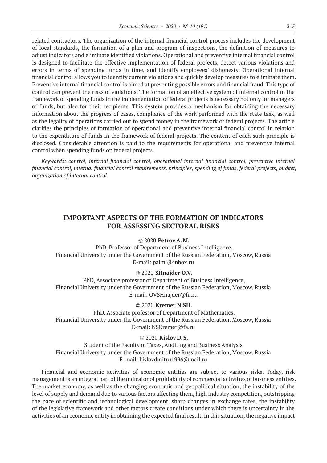related contractors. The organization of the internal financial control process includes the development of local standards, the formation of a plan and program of inspections, the definition of measures to adjust indicators and eliminate identified violations. Operational and preventive internal financial control is designed to facilitate the effective implementation of federal projects, detect various violations and errors in terms of spending funds in time, and identify employees' dishonesty. Operational internal financial control allows you to identify current violations and quickly develop measures to eliminate them. Preventive internal financial control is aimed at preventing possible errors and financial fraud. This type of control can prevent the risks of violations. The formation of an effective system of internal control in the framework of spending funds in the implementation of federal projects is necessary not only for managers of funds, but also for their recipients. This system provides a mechanism for obtaining the necessary information about the progress of cases, compliance of the work performed with the state task, as well as the legality of operations carried out to spend money in the framework of federal projects. The article clarifies the principles of formation of operational and preventive internal financial control in relation to the expenditure of funds in the framework of federal projects. The content of each such principle is disclosed. Considerable attention is paid to the requirements for operational and preventive internal control when spending funds on federal projects.

*Keywords: control, internal financial control, operational internal financial control, preventive internal financial control, internal financial control requirements, principles, spending of funds, federal projects, budget, organization of internal control.*

# **IMPORTANT ASPECTS OF THE FORMATION OF INDICATORS FOR ASSESSING SECTORAL RISKS**

### © 2020 **Petrov A.M.**

PhD, Professor of Department of Business Intelligence, Financial University under the Government of the Russian Federation, Moscow, Russia E-mail: palmi@inbox.ru

### © 2020 **SHnajder O.V.**

PhD, Associate professor of Department of Business Intelligence, Financial University under the Government of the Russian Federation, Moscow, Russia E-mail: OVSHnajder@fa.ru

#### © 2020 **Kremer N.SH.**

PhD, Associate professor of Department of Mathematics, Financial University under the Government of the Russian Federation, Moscow, Russia E-mail: NSKremer@fa.ru

#### © 2020 **Kislov D.S.**

Student of the Faculty of Taxes, Auditing and Business Analysis Financial University under the Government of the Russian Federation, Moscow, Russia E-mail: kislovdmitru1996@mail.ru

Financial and economic activities of economic entities are subject to various risks. Today, risk management is an integral part of the indicator of profitability of commercial activities of business entities. The market economy, as well as the changing economic and geopolitical situation, the instability of the level of supply and demand due to various factors affecting them, high industry competition, outstripping the pace of scientific and technological development, sharp changes in exchange rates, the instability of the legislative framework and other factors create conditions under which there is uncertainty in the activities of an economic entity in obtaining the expected final result. In this situation, the negative impact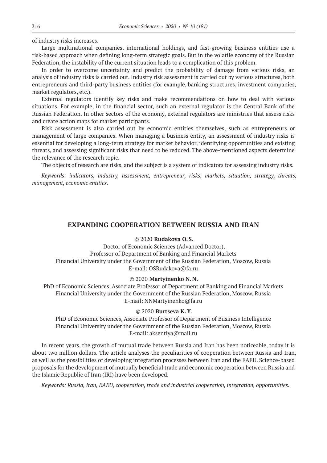of industry risks increases.

Large multinational companies, international holdings, and fast-growing business entities use a risk-based approach when defining long-term strategic goals. But in the volatile economy of the Russian Federation, the instability of the current situation leads to a complication of this problem.

In order to overcome uncertainty and predict the probability of damage from various risks, an analysis of industry risks is carried out. Industry risk assessment is carried out by various structures, both entrepreneurs and third-party business entities (for example, banking structures, investment companies, market regulators, etc.).

External regulators identify key risks and make recommendations on how to deal with various situations. For example, in the financial sector, such an external regulator is the Central Bank of the Russian Federation. In other sectors of the economy, external regulators are ministries that assess risks and create action maps for market participants.

Risk assessment is also carried out by economic entities themselves, such as entrepreneurs or management of large companies. When managing a business entity, an assessment of industry risks is essential for developing a long-term strategy for market behavior, identifying opportunities and existing threats, and assessing significant risks that need to be reduced. The above-mentioned aspects determine the relevance of the research topic.

The objects of research are risks, and the subject is a system of indicators for assessing industry risks.

*Keywords: indicators, industry, assessment, entrepreneur, risks, markets, situation, strategy, threats, management, economic entities.*

### **EXPANDING COOPERATION BETWEEN RUSSIA AND IRAN**

### © 2020 **Rudakova O.S.**

Doctor of Economic Sciences (Advanced Doctor), Professor of Department of Banking and Financial Markets Financial University under the Government of the Russian Federation, Moscow, Russia E-mail: OSRudakova@fa.ru

#### © 2020 **Martyinenko N.N.**

PhD of Economic Sciences, Associate Professor of Department of Banking and Financial Markets Financial University under the Government of the Russian Federation, Moscow, Russia E-mail: NNMartyinenko@fa.ru

#### © 2020 **Burtseva K.Y.**

PhD of Economic Sciences, Associate Professor of Department of Business Intelligence Financial University under the Government of the Russian Federation, Moscow, Russia E-mail: aksentiya@mail.ru

In recent years, the growth of mutual trade between Russia and Iran has been noticeable, today it is about two million dollars. The article analyses the peculiarities of cooperation between Russia and Iran, as well as the possibilities of developing integration processes between Iran and the EAEU. Science-based proposals for the development of mutually beneficial trade and economic cooperation between Russia and the Islamic Republic of Iran (IRI) have been developed.

*Keywords: Russia, Iran, EAEU, cooperation, trade and industrial cooperation, integration, opportunities.*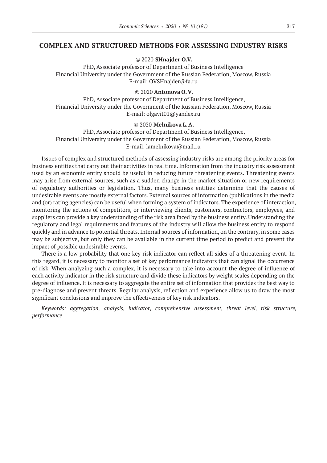### **COMPLEX AND STRUCTURED METHODS FOR ASSESSING INDUSTRY RISKS**

© 2020 **SHnajder O.V.**

PhD, Associate professor of Department of Business Intelligence Financial University under the Government of the Russian Federation, Moscow, Russia E-mail: OVSHnajder@fa.ru

#### © 2020 **Antonova O.V.**

PhD, Associate professor of Department of Business Intelligence, Financial University under the Government of the Russian Federation, Moscow, Russia E-mail: olgavit01@yandex.ru

### © 2020 **Melnikova L.A.**

PhD, Associate professor of Department of Business Intelligence, Financial University under the Government of the Russian Federation, Moscow, Russia E-mail: lamelnikova@mail.ru

Issues of complex and structured methods of assessing industry risks are among the priority areas for business entities that carry out their activities in real time. Information from the industry risk assessment used by an economic entity should be useful in reducing future threatening events. Threatening events may arise from external sources, such as a sudden change in the market situation or new requirements of regulatory authorities or legislation. Thus, many business entities determine that the causes of undesirable events are mostly external factors. External sources of information (publications in the media and (or) rating agencies) can be useful when forming a system of indicators. The experience of interaction, monitoring the actions of competitors, or interviewing clients, customers, contractors, employees, and suppliers can provide a key understanding of the risk area faced by the business entity. Understanding the regulatory and legal requirements and features of the industry will allow the business entity to respond quickly and in advance to potential threats. Internal sources of information, on the contrary, in some cases may be subjective, but only they can be available in the current time period to predict and prevent the impact of possible undesirable events.

There is a low probability that one key risk indicator can reflect all sides of a threatening event. In this regard, it is necessary to monitor a set of key performance indicators that can signal the occurrence of risk. When analyzing such a complex, it is necessary to take into account the degree of influence of each activity indicator in the risk structure and divide these indicators by weight scales depending on the degree of influence. It is necessary to aggregate the entire set of information that provides the best way to pre-diagnose and prevent threats. Regular analysis, reflection and experience allow us to draw the most significant conclusions and improve the effectiveness of key risk indicators.

*Keywords: aggregation, analysis, indicator, comprehensive assessment, threat level, risk structure, performance*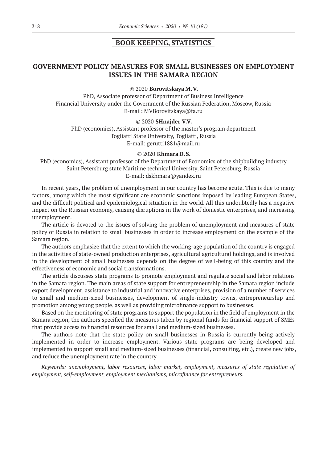### **BOOK KEEPING, STATISTICS**

# **GOVERNMENT POLICY MEASURES FOR SMALL BUSINESSES ON EMPLOYMENT ISSUES IN THE SAMARA REGION**

© 2020 **Borovitskaya M.V.**

PhD, Associate professor of Department of Business Intelligence Financial University under the Government of the Russian Federation, Moscow, Russia E-mail: MVBorovitskaya@fa.ru

© 2020 **SHnajder V.V.**

PhD (economics), Assistant professor of the master's program department Togliatti State University, Togliatti, Russia E-mail: gerutti1881@mail.ru

#### © 2020 **Khmara D.S.**

PhD (economics), Assistant professor of the Department of Economics of the shipbuilding industry Saint Petersburg state Maritime technical University, Saint Petersburg, Russia E-mail: dskhmara@yandex.ru

In recent years, the problem of unemployment in our country has become acute. This is due to many factors, among which the most significant are economic sanctions imposed by leading European States, and the difficult political and epidemiological situation in the world. All this undoubtedly has a negative impact on the Russian economy, causing disruptions in the work of domestic enterprises, and increasing unemployment.

The article is devoted to the issues of solving the problem of unemployment and measures of state policy of Russia in relation to small businesses in order to increase employment on the example of the Samara region.

The authors emphasize that the extent to which the working-age population of the country is engaged in the activities of state-owned production enterprises, agricultural agricultural holdings, and is involved in the development of small businesses depends on the degree of well-being of this country and the effectiveness of economic and social transformations.

The article discusses state programs to promote employment and regulate social and labor relations in the Samara region. The main areas of state support for entrepreneurship in the Samara region include export development, assistance to industrial and innovative enterprises, provision of a number of services to small and medium-sized businesses, development of single-industry towns, entrepreneurship and promotion among young people, as well as providing microfinance support to businesses.

Based on the monitoring of state programs to support the population in the field of employment in the Samara region, the authors specified the measures taken by regional funds for financial support of SMEs that provide access to financial resources for small and medium-sized businesses.

The authors note that the state policy on small businesses in Russia is currently being actively implemented in order to increase employment. Various state programs are being developed and implemented to support small and medium-sized businesses (financial, consulting, etc.), create new jobs, and reduce the unemployment rate in the country.

*Keywords: unemployment, labor resources, labor market, employment, measures of state regulation of employment, self-employment, employment mechanisms, microfinance for entrepreneurs.*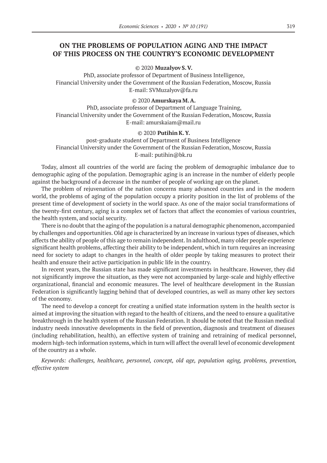# **ON THE PROBLEMS OF POPULATION AGING AND THE IMPACT OF THIS PROCESS ON THE COUNTRY'S ECONOMIC DEVELOPMENT**

### © 2020 **Muzalyov S.V.**

PhD, associate professor of Department of Business Intelligence, Financial University under the Government of the Russian Federation, Moscow, Russia E-mail: SVMuzalyov@fa.ru

### © 2020 **Amurskaya M.A.**

PhD, associate professor of Department of Language Training, Financial University under the Government of the Russian Federation, Moscow, Russia E-mail: amurskaiam@mail.ru

### © 2020 **Putihin K.Y.**

post-graduate student of Department of Business Intelligence Financial University under the Government of the Russian Federation, Moscow, Russia E-mail: putihin@bk.ru

Today, almost all countries of the world are facing the problem of demographic imbalance due to demographic aging of the population. Demographic aging is an increase in the number of elderly people against the background of a decrease in the number of people of working age on the planet.

The problem of rejuvenation of the nation concerns many advanced countries and in the modern world, the problems of aging of the population occupy a priority position in the list of problems of the present time of development of society in the world space. As one of the major social transformations of the twenty-first century, aging is a complex set of factors that affect the economies of various countries, the health system, and social security.

There is no doubt that the aging of the population is a natural demographic phenomenon, accompanied by challenges and opportunities. Old age is characterized by an increase in various types of diseases, which affects the ability of people of this age to remain independent. In adulthood, many older people experience significant health problems, affecting their ability to be independent, which in turn requires an increasing need for society to adapt to changes in the health of older people by taking measures to protect their health and ensure their active participation in public life in the country.

In recent years, the Russian state has made significant investments in healthcare. However, they did not significantly improve the situation, as they were not accompanied by large-scale and highly effective organizational, financial and economic measures. The level of healthcare development in the Russian Federation is significantly lagging behind that of developed countries, as well as many other key sectors of the economy.

The need to develop a concept for creating a unified state information system in the health sector is aimed at improving the situation with regard to the health of citizens, and the need to ensure a qualitative breakthrough in the health system of the Russian Federation. It should be noted that the Russian medical industry needs innovative developments in the field of prevention, diagnosis and treatment of diseases (including rehabilitation, health), an effective system of training and retraining of medical personnel, modern high-tech information systems, which in turn will affect the overall level of economic development of the country as a whole.

*Keywords: challenges, healthcare, personnel, concept, old age, population aging, problems, prevention, effective system*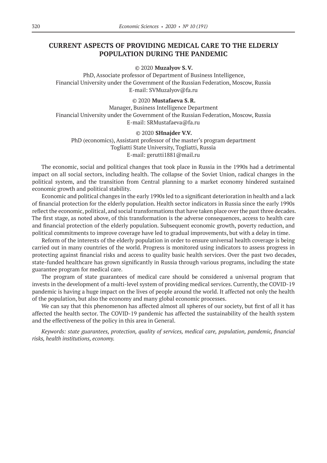# **CURRENT ASPECTS OF PROVIDING MEDICAL CARE TO THE ELDERLY POPULATION DURING THE PANDEMIC**

#### © 2020 **Muzalyov S.V.**

PhD, Associate professor of Department of Business Intelligence, Financial University under the Government of the Russian Federation, Moscow, Russia E-mail: SVMuzalyov@fa.ru

### © 2020 **Mustafaeva S.R.**

Manager, Business Intelligence Department Financial University under the Government of the Russian Federation, Moscow, Russia E-mail: SRMustafaeva@fa.ru

### © 2020 **SHnajder V.V.**

PhD (economics), Assistant professor of the master's program department Togliatti State University, Togliatti, Russia E-mail: gerutti1881@mail.ru

The economic, social and political changes that took place in Russia in the 1990s had a detrimental impact on all social sectors, including health. The collapse of the Soviet Union, radical changes in the political system, and the transition from Central planning to a market economy hindered sustained economic growth and political stability.

Economic and political changes in the early 1990s led to a significant deterioration in health and a lack of financial protection for the elderly population. Health sector indicators in Russia since the early 1990s reflect the economic, political, and social transformations that have taken place over the past three decades. The first stage, as noted above, of this transformation is the adverse consequences, access to health care and financial protection of the elderly population. Subsequent economic growth, poverty reduction, and political commitments to improve coverage have led to gradual improvements, but with a delay in time.

Reform of the interests of the elderly population in order to ensure universal health coverage is being carried out in many countries of the world. Progress is monitored using indicators to assess progress in protecting against financial risks and access to quality basic health services. Over the past two decades, state-funded healthcare has grown significantly in Russia through various programs, including the state guarantee program for medical care.

The program of state guarantees of medical care should be considered a universal program that invests in the development of a multi-level system of providing medical services. Currently, the COVID-19 pandemic is having a huge impact on the lives of people around the world. It affected not only the health of the population, but also the economy and many global economic processes.

We can say that this phenomenon has affected almost all spheres of our society, but first of all it has affected the health sector. The COVID-19 pandemic has affected the sustainability of the health system and the effectiveness of the policy in this area in General.

*Keywords: state guarantees, protection, quality of services, medical care, population, pandemic, financial risks, health institutions, economy.*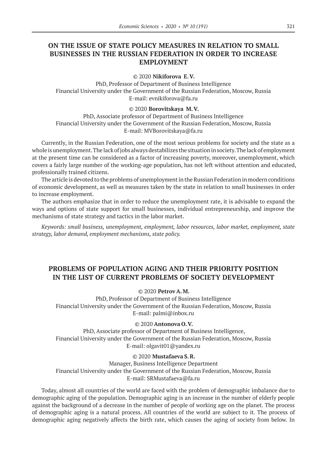# **ON THE ISSUE OF STATE POLICY MEASURES IN RELATION TO SMALL BUSINESSES IN THE RUSSIAN FEDERATION IN ORDER TO INCREASE EMPLOYMENT**

#### © 2020 **Nikiforova E.V.**

PhD, Professor of Department of Business Intelligence Financial University under the Government of the Russian Federation, Moscow, Russia E-mail: evnikiforova@fa.ru

#### © 2020 **Borovitskaya M.V.**

PhD, Associate professor of Department of Business Intelligence Financial University under the Government of the Russian Federation, Moscow, Russia E-mail: MVBorovitskaya@fa.ru

Currently, in the Russian Federation, one of the most serious problems for society and the state as a whole is unemployment. The lack of jobs always destabilizes the situation in society. The lack of employment at the present time can be considered as a factor of increasing poverty, moreover, unemployment, which covers a fairly large number of the working-age population, has not left without attention and educated, professionally trained citizens.

The article is devoted to the problems of unemployment in the Russian Federation in modern conditions of economic development, as well as measures taken by the state in relation to small businesses in order to increase employment.

The authors emphasize that in order to reduce the unemployment rate, it is advisable to expand the ways and options of state support for small businesses, individual entrepreneurship, and improve the mechanisms of state strategy and tactics in the labor market.

*Keywords: small business, unemployment, employment, labor resources, labor market, employment, state strategy, labor demand, employment mechanisms, state policy.*

# **PROBLEMS OF POPULATION AGING AND THEIR PRIORITY POSITION IN THE LIST OF CURRENT PROBLEMS OF SOCIETY DEVELOPMENT**

### © 2020 **Petrov A.M.**

PhD, Professor of Department of Business Intelligence Financial University under the Government of the Russian Federation, Moscow, Russia E-mail: palmi@inbox.ru

#### © 2020 **Antonova O.V.**

PhD, Associate professor of Department of Business Intelligence, Financial University under the Government of the Russian Federation, Moscow, Russia E-mail: olgavit01@yandex.ru

#### © 2020 **Mustafaeva S.R.**

Manager, Business Intelligence Department Financial University under the Government of the Russian Federation, Moscow, Russia E-mail: SRMustafaeva@fa.ru

Today, almost all countries of the world are faced with the problem of demographic imbalance due to demographic aging of the population. Demographic aging is an increase in the number of elderly people against the background of a decrease in the number of people of working age on the planet. The process of demographic aging is a natural process. All countries of the world are subject to it. The process of demographic aging negatively affects the birth rate, which causes the aging of society from below. In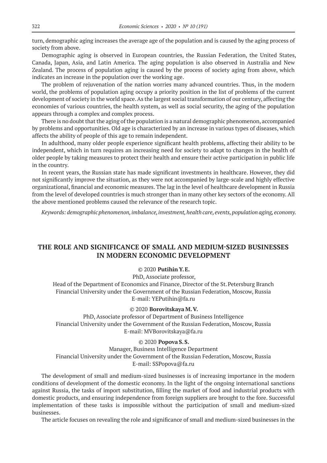turn, demographic aging increases the average age of the population and is caused by the aging process of society from above.

Demographic aging is observed in European countries, the Russian Federation, the United States, Canada, Japan, Asia, and Latin America. The aging population is also observed in Australia and New Zealand. The process of population aging is caused by the process of society aging from above, which indicates an increase in the population over the working age.

The problem of rejuvenation of the nation worries many advanced countries. Thus, in the modern world, the problems of population aging occupy a priority position in the list of problems of the current development of society in the world space. As the largest social transformation of our century, affecting the economies of various countries, the health system, as well as social security, the aging of the population appears through a complex and complex process.

There is no doubt that the aging of the population is a natural demographic phenomenon, accompanied by problems and opportunities. Old age is characterized by an increase in various types of diseases, which affects the ability of people of this age to remain independent.

In adulthood, many older people experience significant health problems, affecting their ability to be independent, which in turn requires an increasing need for society to adapt to changes in the health of older people by taking measures to protect their health and ensure their active participation in public life in the country.

In recent years, the Russian state has made significant investments in healthcare. However, they did not significantly improve the situation, as they were not accompanied by large-scale and highly effective organizational, financial and economic measures. The lag in the level of healthcare development in Russia from the level of developed countries is much stronger than in many other key sectors of the economy. All the above mentioned problems caused the relevance of the research topic.

*Keywords: demographic phenomenon, imbalance, investment, health care, events, population aging, economy.*

# **THE ROLE AND SIGNIFICANCE OF SMALL AND MEDIUM-SIZED BUSINESSES IN MODERN ECONOMIC DEVELOPMENT**

### © 2020 **PutihinY.E.**

PhD, Associate professor,

Head of the Department of Economics and Finance, Director of the St. Petersburg Branch Financial University under the Government of the Russian Federation, Moscow, Russia E-mail: YEPutihin@fa.ru

#### © 2020 **Borovitskaya M.V.**

PhD, Associate professor of Department of Business Intelligence Financial University under the Government of the Russian Federation, Moscow, Russia E-mail: MVBorovitskaya@fa.ru

#### © 2020 **Popova S.S.**

Manager, Business Intelligence Department Financial University under the Government of the Russian Federation, Moscow, Russia E-mail: SSPopova@fa.ru

The development of small and medium-sized businesses is of increasing importance in the modern conditions of development of the domestic economy. In the light of the ongoing international sanctions against Russia, the tasks of import substitution, filling the market of food and industrial products with domestic products, and ensuring independence from foreign suppliers are brought to the fore. Successful implementation of these tasks is impossible without the participation of small and medium-sized businesses.

The article focuses on revealing the role and significance of small and medium-sized businesses in the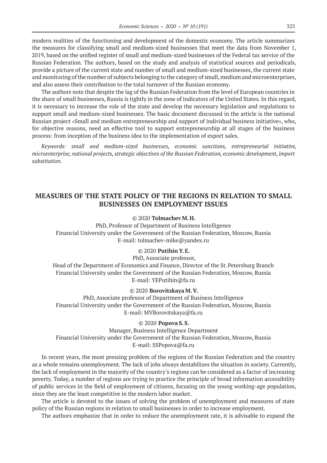modern realities of the functioning and development of the domestic economy. The article summarizes the measures for classifying small and medium-sized businesses that meet the data from November 1, 2019, based on the unified register of small and medium-sized businesses of the Federal tax service of the Russian Federation. The authors, based on the study and analysis of statistical sources and periodicals, provide a picture of the current state and number of small and medium-sized businesses, the current state and monitoring of the number of subjects belonging to the category of small, medium and microenterprises, and also assess their contribution to the total turnover of the Russian economy.

The authors note that despite the lag of the Russian Federation from the level of European countries in the share of small businesses, Russia is tightly in the zone of indicators of the United States. In this regard, it is necessary to increase the role of the state and develop the necessary legislation and regulations to support small and medium-sized businesses. The basic document discussed in the article is the national Russian project «Small and medium entrepreneurship and support of individual business initiative», who, for objective reasons, need an effective tool to support entrepreneurship at all stages of the business process: from inception of the business idea to the implementation of export sales.

*Keywords: small and medium-sized businesses, economic sanctions, entrepreneurial initiative, microenterprise, national projects, strategic objectives of the Russian Federation, economic development, import substitution.*

# **MEASURES OF THE STATE POLICY OF THE REGIONS IN RELATION TO SMALL BUSINESSES ON EMPLOYMENT ISSUES**

### © 2020 **Tolmachev M.H.**

PhD, Professor of Department of Business Intelligence Financial University under the Government of the Russian Federation, Moscow, Russia E-mail: tolmachev-mike@yandex.ru

### © 2020 **PutihinY.E.**

PhD, Associate professor, Head of the Department of Economics and Finance, Director of the St. Petersburg Branch Financial University under the Government of the Russian Federation, Moscow, Russia E-mail: YEPutihin@fa.ru

#### © 2020 **Borovitskaya M.V.**

PhD, Associate professor of Department of Business Intelligence Financial University under the Government of the Russian Federation, Moscow, Russia E-mail: MVBorovitskaya@fa.ru

### © 2020 **Popova S.S.**

Manager, Business Intelligence Department Financial University under the Government of the Russian Federation, Moscow, Russia E-mail: SSPopova@fa.ru

In recent years, the most pressing problem of the regions of the Russian Federation and the country as a whole remains unemployment. The lack of jobs always destabilizes the situation in society. Currently, the lack of employment in the majority of the country's regions can be considered as a factor of increasing poverty. Today, a number of regions are trying to practice the principle of broad information accessibility of public services in the field of employment of citizens, focusing on the young working-age population, since they are the least competitive in the modern labor market.

The article is devoted to the issues of solving the problem of unemployment and measures of state policy of the Russian regions in relation to small businesses in order to increase employment.

The authors emphasize that in order to reduce the unemployment rate, it is advisable to expand the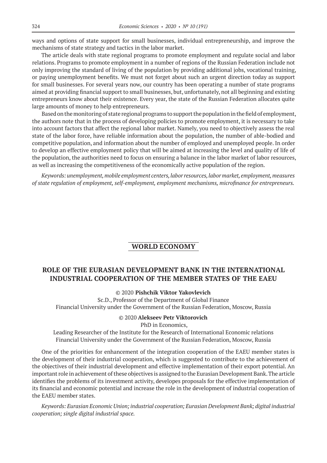ways and options of state support for small businesses, individual entrepreneurship, and improve the mechanisms of state strategy and tactics in the labor market.

The article deals with state regional programs to promote employment and regulate social and labor relations. Programs to promote employment in a number of regions of the Russian Federation include not only improving the standard of living of the population by providing additional jobs, vocational training, or paying unemployment benefits. We must not forget about such an urgent direction today as support for small businesses. For several years now, our country has been operating a number of state programs aimed at providing financial support to small businesses, but, unfortunately, not all beginning and existing entrepreneurs know about their existence. Every year, the state of the Russian Federation allocates quite large amounts of money to help entrepreneurs.

Based on the monitoring of state regional programs to support the population in the field of employment, the authors note that in the process of developing policies to promote employment, it is necessary to take into account factors that affect the regional labor market. Namely, you need to objectively assess the real state of the labor force, have reliable information about the population, the number of able-bodied and competitive population, and information about the number of employed and unemployed people. In order to develop an effective employment policy that will be aimed at increasing the level and quality of life of the population, the authorities need to focus on ensuring a balance in the labor market of labor resources, as well as increasing the competitiveness of the economically active population of the region.

*Keywords: unemployment, mobile employment centers, labor resources, labor market, employment, measures of state regulation of employment, self-employment, employment mechanisms, microfinance for entrepreneurs.*

# **WORLD ECONOMY**

# **ROLE OF THE EURASIAN DEVELOPMENT BANK IN THE INTERNATIONAL INDUSTRIAL COOPERATION OF THE MEMBER STATES OF THE EAEU**

© 2020 **Pishchik Viktor Yakovlevich**

Sc.D., Professor of the Department of Global Finance Financial University under the Government of the Russian Federation, Moscow, Russia

### © 2020 **Alekseev Petr Viktorovich**

PhD in Economics,

Leading Researcher of the Institute for the Research of International Economic relations Financial University under the Government of the Russian Federation, Moscow, Russia

One of the priorities for enhancement of the integration cooperation of the EAEU member states is the development of their industrial cooperation, which is suggested to contribute to the achievement of the objectives of their industrial development and effective implementation of their export potential. An important role in achievement of these objectives is assigned to the Eurasian Development Bank. The article identifies the problems of its investment activity, developes proposals for the effective implementation of its financial and economic potential and increase the role in the development of industrial cooperation of the EAEU member states.

*Keywords: Eurasian EconomicUnion; industrial cooperation; Eurasian Development Bank; digital industrial cooperation; single digital industrial space.*